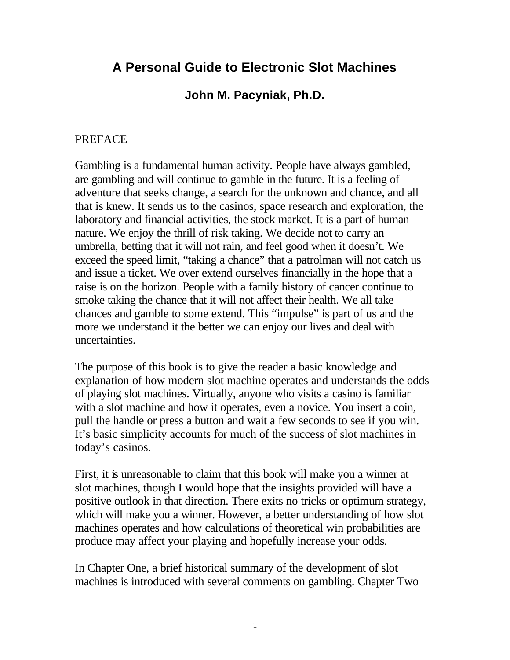# **A Personal Guide to Electronic Slot Machines**

# **John M. Pacyniak, Ph.D.**

# PREFACE

Gambling is a fundamental human activity. People have always gambled, are gambling and will continue to gamble in the future. It is a feeling of adventure that seeks change, a search for the unknown and chance, and all that is knew. It sends us to the casinos, space research and exploration, the laboratory and financial activities, the stock market. It is a part of human nature. We enjoy the thrill of risk taking. We decide not to carry an umbrella, betting that it will not rain, and feel good when it doesn't. We exceed the speed limit, "taking a chance" that a patrolman will not catch us and issue a ticket. We over extend ourselves financially in the hope that a raise is on the horizon. People with a family history of cancer continue to smoke taking the chance that it will not affect their health. We all take chances and gamble to some extend. This "impulse" is part of us and the more we understand it the better we can enjoy our lives and deal with uncertainties.

The purpose of this book is to give the reader a basic knowledge and explanation of how modern slot machine operates and understands the odds of playing slot machines. Virtually, anyone who visits a casino is familiar with a slot machine and how it operates, even a novice. You insert a coin, pull the handle or press a button and wait a few seconds to see if you win. It's basic simplicity accounts for much of the success of slot machines in today's casinos.

First, it is unreasonable to claim that this book will make you a winner at slot machines, though I would hope that the insights provided will have a positive outlook in that direction. There exits no tricks or optimum strategy, which will make you a winner. However, a better understanding of how slot machines operates and how calculations of theoretical win probabilities are produce may affect your playing and hopefully increase your odds.

In Chapter One, a brief historical summary of the development of slot machines is introduced with several comments on gambling. Chapter Two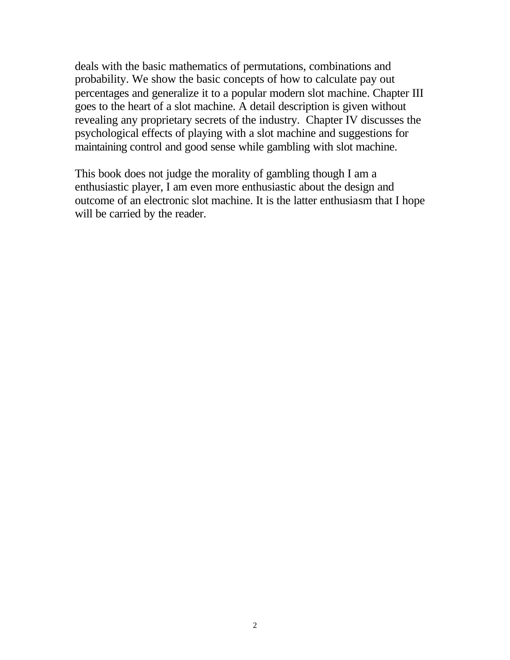deals with the basic mathematics of permutations, combinations and probability. We show the basic concepts of how to calculate pay out percentages and generalize it to a popular modern slot machine. Chapter III goes to the heart of a slot machine. A detail description is given without revealing any proprietary secrets of the industry. Chapter IV discusses the psychological effects of playing with a slot machine and suggestions for maintaining control and good sense while gambling with slot machine.

This book does not judge the morality of gambling though I am a enthusiastic player, I am even more enthusiastic about the design and outcome of an electronic slot machine. It is the latter enthusiasm that I hope will be carried by the reader.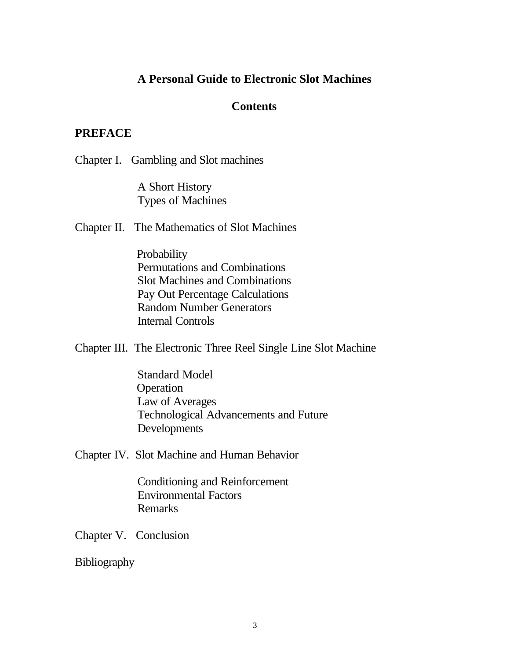## **A Personal Guide to Electronic Slot Machines**

#### **Contents**

#### **PREFACE**

Chapter I. Gambling and Slot machines

 A Short History Types of Machines

Chapter II. The Mathematics of Slot Machines

 Probability Permutations and Combinations Slot Machines and Combinations Pay Out Percentage Calculations Random Number Generators Internal Controls

Chapter III. The Electronic Three Reel Single Line Slot Machine

 Standard Model Operation Law of Averages Technological Advancements and Future Developments

Chapter IV. Slot Machine and Human Behavior

 Conditioning and Reinforcement Environmental Factors Remarks

Chapter V. Conclusion

Bibliography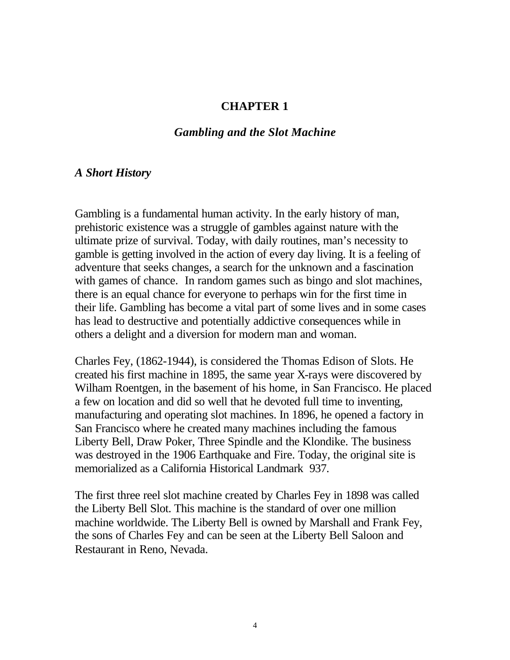## **CHAPTER 1**

### *Gambling and the Slot Machine*

#### *A Short History*

Gambling is a fundamental human activity. In the early history of man, prehistoric existence was a struggle of gambles against nature with the ultimate prize of survival. Today, with daily routines, man's necessity to gamble is getting involved in the action of every day living. It is a feeling of adventure that seeks changes, a search for the unknown and a fascination with games of chance. In random games such as bingo and slot machines, there is an equal chance for everyone to perhaps win for the first time in their life. Gambling has become a vital part of some lives and in some cases has lead to destructive and potentially addictive consequences while in others a delight and a diversion for modern man and woman.

Charles Fey, (1862-1944), is considered the Thomas Edison of Slots. He created his first machine in 1895, the same year X-rays were discovered by Wilham Roentgen, in the basement of his home, in San Francisco. He placed a few on location and did so well that he devoted full time to inventing, manufacturing and operating slot machines. In 1896, he opened a factory in San Francisco where he created many machines including the famous Liberty Bell, Draw Poker, Three Spindle and the Klondike. The business was destroyed in the 1906 Earthquake and Fire. Today, the original site is memorialized as a California Historical Landmark 937.

The first three reel slot machine created by Charles Fey in 1898 was called the Liberty Bell Slot. This machine is the standard of over one million machine worldwide. The Liberty Bell is owned by Marshall and Frank Fey, the sons of Charles Fey and can be seen at the Liberty Bell Saloon and Restaurant in Reno, Nevada.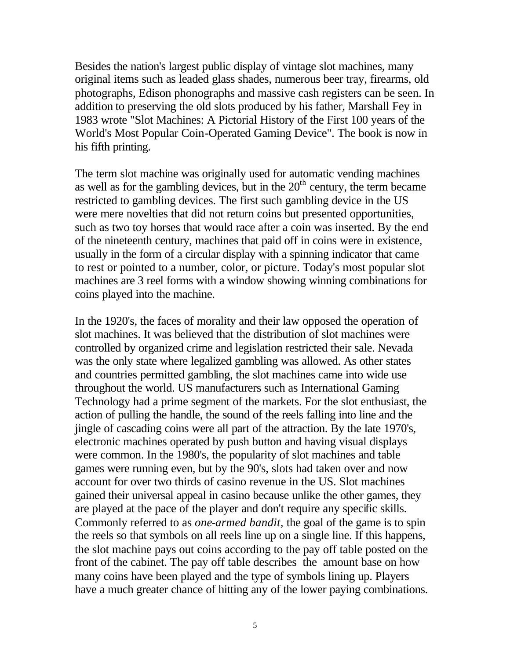Besides the nation's largest public display of vintage slot machines, many original items such as leaded glass shades, numerous beer tray, firearms, old photographs, Edison phonographs and massive cash registers can be seen. In addition to preserving the old slots produced by his father, Marshall Fey in 1983 wrote "Slot Machines: A Pictorial History of the First 100 years of the World's Most Popular Coin-Operated Gaming Device". The book is now in his fifth printing.

The term slot machine was originally used for automatic vending machines as well as for the gambling devices, but in the  $20<sup>th</sup>$  century, the term became restricted to gambling devices. The first such gambling device in the US were mere novelties that did not return coins but presented opportunities, such as two toy horses that would race after a coin was inserted. By the end of the nineteenth century, machines that paid off in coins were in existence, usually in the form of a circular display with a spinning indicator that came to rest or pointed to a number, color, or picture. Today's most popular slot machines are 3 reel forms with a window showing winning combinations for coins played into the machine.

In the 1920's, the faces of morality and their law opposed the operation of slot machines. It was believed that the distribution of slot machines were controlled by organized crime and legislation restricted their sale. Nevada was the only state where legalized gambling was allowed. As other states and countries permitted gambling, the slot machines came into wide use throughout the world. US manufacturers such as International Gaming Technology had a prime segment of the markets. For the slot enthusiast, the action of pulling the handle, the sound of the reels falling into line and the jingle of cascading coins were all part of the attraction. By the late 1970's, electronic machines operated by push button and having visual displays were common. In the 1980's, the popularity of slot machines and table games were running even, but by the 90's, slots had taken over and now account for over two thirds of casino revenue in the US. Slot machines gained their universal appeal in casino because unlike the other games, they are played at the pace of the player and don't require any specific skills. Commonly referred to as *one-armed bandit,* the goal of the game is to spin the reels so that symbols on all reels line up on a single line. If this happens, the slot machine pays out coins according to the pay off table posted on the front of the cabinet. The pay off table describes the amount base on how many coins have been played and the type of symbols lining up. Players have a much greater chance of hitting any of the lower paying combinations.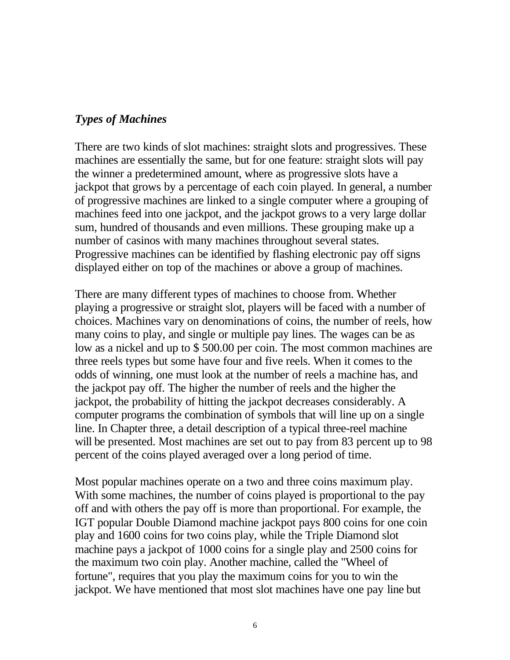### *Types of Machines*

There are two kinds of slot machines: straight slots and progressives. These machines are essentially the same, but for one feature: straight slots will pay the winner a predetermined amount, where as progressive slots have a jackpot that grows by a percentage of each coin played. In general, a number of progressive machines are linked to a single computer where a grouping of machines feed into one jackpot, and the jackpot grows to a very large dollar sum, hundred of thousands and even millions. These grouping make up a number of casinos with many machines throughout several states. Progressive machines can be identified by flashing electronic pay off signs displayed either on top of the machines or above a group of machines.

There are many different types of machines to choose from. Whether playing a progressive or straight slot, players will be faced with a number of choices. Machines vary on denominations of coins, the number of reels, how many coins to play, and single or multiple pay lines. The wages can be as low as a nickel and up to \$ 500.00 per coin. The most common machines are three reels types but some have four and five reels. When it comes to the odds of winning, one must look at the number of reels a machine has, and the jackpot pay off. The higher the number of reels and the higher the jackpot, the probability of hitting the jackpot decreases considerably. A computer programs the combination of symbols that will line up on a single line. In Chapter three, a detail description of a typical three-reel machine will be presented. Most machines are set out to pay from 83 percent up to 98 percent of the coins played averaged over a long period of time.

Most popular machines operate on a two and three coins maximum play. With some machines, the number of coins played is proportional to the pay off and with others the pay off is more than proportional. For example, the IGT popular Double Diamond machine jackpot pays 800 coins for one coin play and 1600 coins for two coins play, while the Triple Diamond slot machine pays a jackpot of 1000 coins for a single play and 2500 coins for the maximum two coin play. Another machine, called the "Wheel of fortune", requires that you play the maximum coins for you to win the jackpot. We have mentioned that most slot machines have one pay line but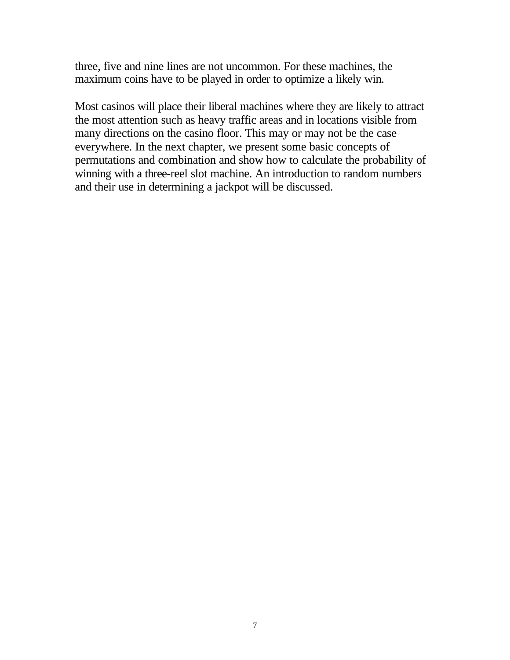three, five and nine lines are not uncommon. For these machines, the maximum coins have to be played in order to optimize a likely win.

Most casinos will place their liberal machines where they are likely to attract the most attention such as heavy traffic areas and in locations visible from many directions on the casino floor. This may or may not be the case everywhere. In the next chapter, we present some basic concepts of permutations and combination and show how to calculate the probability of winning with a three-reel slot machine. An introduction to random numbers and their use in determining a jackpot will be discussed.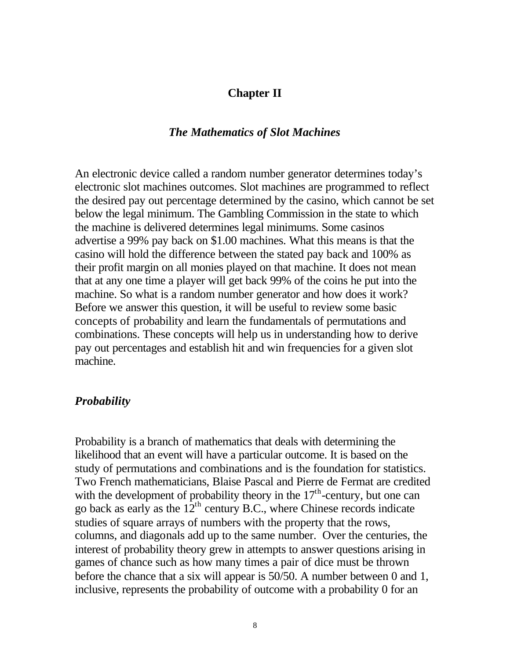## **Chapter II**

#### *The Mathematics of Slot Machines*

An electronic device called a random number generator determines today's electronic slot machines outcomes. Slot machines are programmed to reflect the desired pay out percentage determined by the casino, which cannot be set below the legal minimum. The Gambling Commission in the state to which the machine is delivered determines legal minimums. Some casinos advertise a 99% pay back on \$1.00 machines. What this means is that the casino will hold the difference between the stated pay back and 100% as their profit margin on all monies played on that machine. It does not mean that at any one time a player will get back 99% of the coins he put into the machine. So what is a random number generator and how does it work? Before we answer this question, it will be useful to review some basic concepts of probability and learn the fundamentals of permutations and combinations. These concepts will help us in understanding how to derive pay out percentages and establish hit and win frequencies for a given slot machine.

#### *Probability*

Probability is a branch of mathematics that deals with determining the likelihood that an event will have a particular outcome. It is based on the study of permutations and combinations and is the foundation for statistics. Two French mathematicians, Blaise Pascal and Pierre de Fermat are credited with the development of probability theory in the  $17<sup>th</sup>$ -century, but one can go back as early as the  $12<sup>th</sup>$  century B.C., where Chinese records indicate studies of square arrays of numbers with the property that the rows, columns, and diagonals add up to the same number. Over the centuries, the interest of probability theory grew in attempts to answer questions arising in games of chance such as how many times a pair of dice must be thrown before the chance that a six will appear is 50/50. A number between 0 and 1, inclusive, represents the probability of outcome with a probability 0 for an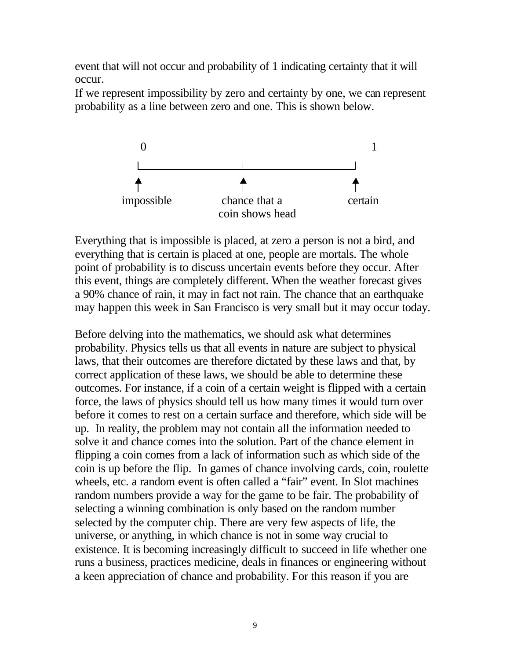event that will not occur and probability of 1 indicating certainty that it will occur.

If we represent impossibility by zero and certainty by one, we can represent probability as a line between zero and one. This is shown below.



Everything that is impossible is placed, at zero a person is not a bird, and everything that is certain is placed at one, people are mortals. The whole point of probability is to discuss uncertain events before they occur. After this event, things are completely different. When the weather forecast gives a 90% chance of rain, it may in fact not rain. The chance that an earthquake may happen this week in San Francisco is very small but it may occur today.

Before delving into the mathematics, we should ask what determines probability. Physics tells us that all events in nature are subject to physical laws, that their outcomes are therefore dictated by these laws and that, by correct application of these laws, we should be able to determine these outcomes. For instance, if a coin of a certain weight is flipped with a certain force, the laws of physics should tell us how many times it would turn over before it comes to rest on a certain surface and therefore, which side will be up. In reality, the problem may not contain all the information needed to solve it and chance comes into the solution. Part of the chance element in flipping a coin comes from a lack of information such as which side of the coin is up before the flip. In games of chance involving cards, coin, roulette wheels, etc. a random event is often called a "fair" event. In Slot machines random numbers provide a way for the game to be fair. The probability of selecting a winning combination is only based on the random number selected by the computer chip. There are very few aspects of life, the universe, or anything, in which chance is not in some way crucial to existence. It is becoming increasingly difficult to succeed in life whether one runs a business, practices medicine, deals in finances or engineering without a keen appreciation of chance and probability. For this reason if you are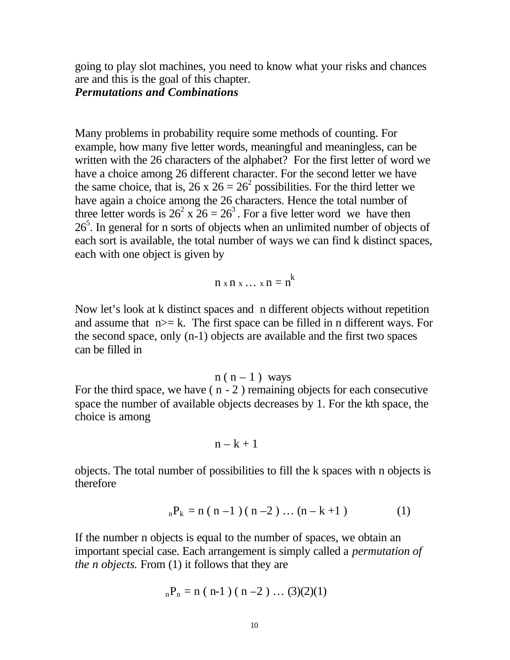going to play slot machines, you need to know what your risks and chances are and this is the goal of this chapter. *Permutations and Combinations*

Many problems in probability require some methods of counting. For example, how many five letter words, meaningful and meaningless, can be written with the 26 characters of the alphabet? For the first letter of word we have a choice among 26 different character. For the second letter we have the same choice, that is,  $26 \times 26 = 26^2$  possibilities. For the third letter we have again a choice among the 26 characters. Hence the total number of three letter words is  $26^2 \times 26 = 26^3$ . For a five letter word we have then  $26<sup>5</sup>$ . In general for n sorts of objects when an unlimited number of objects of each sort is available, the total number of ways we can find k distinct spaces, each with one object is given by

$$
n \times n \times \ldots \times n = n^k
$$

Now let's look at k distinct spaces and n different objects without repetition and assume that  $n>= k$ . The first space can be filled in n different ways. For the second space, only (n-1) objects are available and the first two spaces can be filled in

#### $n(n-1)$  ways

For the third space, we have  $(n - 2)$  remaining objects for each consecutive space the number of available objects decreases by 1. For the kth space, the choice is among

$$
n-k+1
$$

objects. The total number of possibilities to fill the k spaces with n objects is therefore

$$
_{n}P_{k} = n (n - 1) (n - 2) ... (n - k + 1)
$$
 (1)

If the number n objects is equal to the number of spaces, we obtain an important special case. Each arrangement is simply called a *permutation of the n objects.* From (1) it follows that they are

$$
_{n}P_{n} = n (n-1) (n-2) ... (3)(2)(1)
$$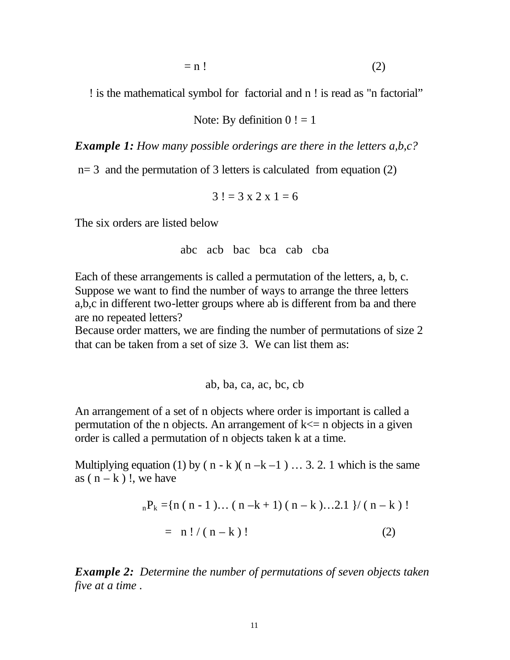! is the mathematical symbol for factorial and n ! is read as "n factorial"

#### Note: By definition  $0! = 1$

*Example 1: How many possible orderings are there in the letters a,b,c?*

 $n= 3$  and the permutation of 3 letters is calculated from equation (2)

$$
3 != 3 x 2 x 1 = 6
$$

The six orders are listed below

abc acb bac bca cab cba

Each of these arrangements is called a permutation of the letters, a, b, c. Suppose we want to find the number of ways to arrange the three letters a,b,c in different two-letter groups where ab is different from ba and there are no repeated letters?

Because order matters, we are finding the number of permutations of size 2 that can be taken from a set of size 3. We can list them as:

ab, ba, ca, ac, bc, cb

An arrangement of a set of n objects where order is important is called a permutation of the n objects. An arrangement of  $k \leq n$  objects in a given order is called a permutation of n objects taken k at a time.

Multiplying equation (1) by ( $n - k$ )( $n - k - 1$ ) ... 3. 2. 1 which is the same as  $(n - k)$ !, we have

$$
{}_{n}P_{k} = \{n (n - 1)... (n - k + 1) (n - k)...2.1\}/(n - k)!
$$
  
= n!/(n - k)! (2)

*Example 2: Determine the number of permutations of seven objects taken five at a time .*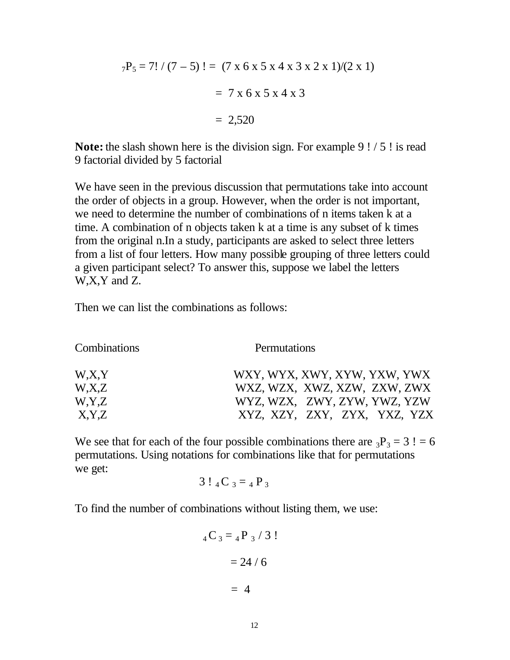$$
_{7}P_{5} = 7! / (7 - 5) ! = (7 \times 6 \times 5 \times 4 \times 3 \times 2 \times 1) / (2 \times 1)
$$
  
= 7 x 6 x 5 x 4 x 3  
= 2,520

**Note:** the slash shown here is the division sign. For example 9 ! / 5 ! is read 9 factorial divided by 5 factorial

We have seen in the previous discussion that permutations take into account the order of objects in a group. However, when the order is not important, we need to determine the number of combinations of n items taken k at a time. A combination of n objects taken k at a time is any subset of k times from the original n.In a study, participants are asked to select three letters from a list of four letters. How many possible grouping of three letters could a given participant select? To answer this, suppose we label the letters W,X,Y and Z.

Then we can list the combinations as follows:

| Combinations | Permutations                 |
|--------------|------------------------------|
| W, X, Y      | WXY, WYX, XWY, XYW, YXW, YWX |
| W,X,Z        | WXZ, WZX, XWZ, XZW, ZXW, ZWX |
| W.Y.Z        | WYZ, WZX, ZWY, ZYW, YWZ, YZW |
| X.Y.Z        | XYZ, XZY, ZXY, ZYX, YXZ, YZX |

We see that for each of the four possible combinations there are  ${}_{3}P_{3} = 3 ! = 6$ permutations. Using notations for combinations like that for permutations we get:

 $3!_{4}C_{3} = _{4}P_{3}$ 

To find the number of combinations without listing them, we use:

$$
{}_{4}C_{3} = {}_{4}P_{3} / 3!
$$
  
= 24 / 6  
= 4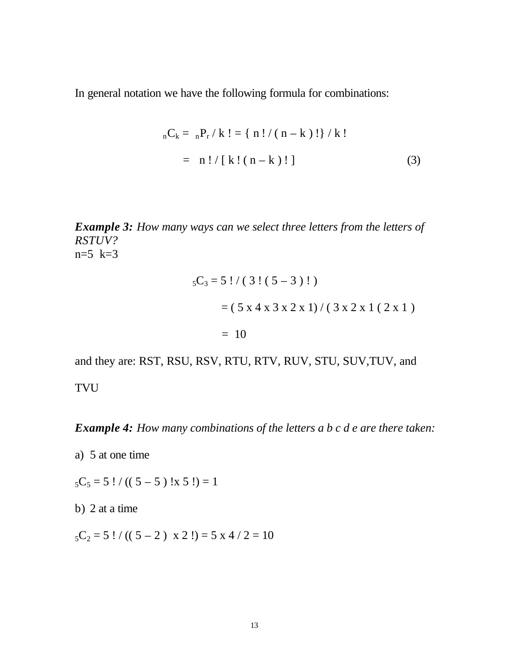In general notation we have the following formula for combinations:

$$
{}_{n}C_{k} = {}_{n}P_{r} / k ! = { n ! / (n - k ) ! } / k !
$$
  
= n ! / [ k ! (n - k) ! ] (3)

*Example 3: How many ways can we select three letters from the letters of RSTUV?*  $n=5$  k=3

$$
{}_{5}C_{3} = 5!/ (3!(5-3)!)
$$
  
= (5 x 4 x 3 x 2 x 1)/(3 x 2 x 1 (2 x 1)  
= 10

and they are: RST, RSU, RSV, RTU, RTV, RUV, STU, SUV,TUV, and TVU

*Example 4: How many combinations of the letters a b c d e are there taken:*

a) 5 at one time

 $5C_5 = 5$ !/((5 – 5)!x 5!) = 1

b) 2 at a time

 $5C_2 = 5! / ((5-2) \times 2!) = 5 \times 4 / 2 = 10$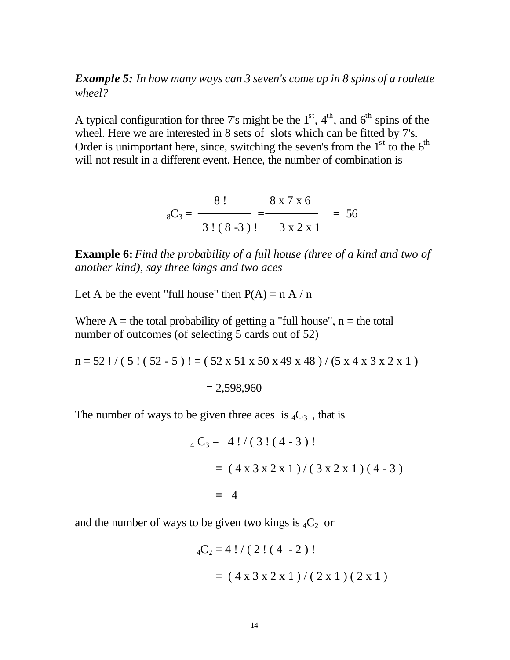*Example 5: In how many ways can 3 seven's come up in 8 spins of a roulette wheel?*

A typical configuration for three 7's might be the  $1<sup>st</sup>$ ,  $4<sup>th</sup>$ , and  $6<sup>th</sup>$  spins of the wheel. Here we are interested in 8 sets of slots which can be fitted by 7's. Order is unimportant here, since, switching the seven's from the  $1<sup>st</sup>$  to the  $6<sup>th</sup>$ will not result in a different event. Hence, the number of combination is

$$
{}_{8}C_{3} = \frac{8!}{3!(8-3)!} = \frac{8 \times 7 \times 6}{3 \times 2 \times 1} = 56
$$

**Example 6:** *Find the probability of a full house (three of a kind and two of another kind), say three kings and two aces*

Let A be the event "full house" then  $P(A) = n A / n$ 

Where  $A =$  the total probability of getting a "full house",  $n =$  the total number of outcomes (of selecting 5 cards out of 52)

 $n = 52$  ! / ( 5 ! ( 52 - 5) ! = ( 52 x 51 x 50 x 49 x 48 ) / (5 x 4 x 3 x 2 x 1)  $= 2,598,960$ 

The number of ways to be given three aces is  ${}_{4}C_{3}$ , that is

$$
{}_{4}C_{3} = 4!/(3!(4-3)!
$$
  
=  $(4 \times 3 \times 2 \times 1)/(3 \times 2 \times 1)(4-3)$   
= 4

and the number of ways to be given two kings is  ${}_{4}C_{2}$  or

$$
{}_{4}C_{2} = 4!/ (2!(4-2)!
$$
  
=  $(4 \times 3 \times 2 \times 1)/(2 \times 1)(2 \times 1)$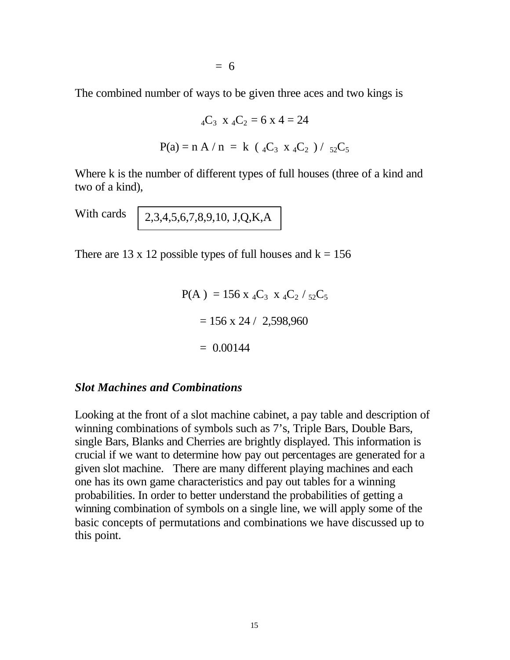The combined number of ways to be given three aces and two kings is

$$
{}_{4}C_{3} \times {}_{4}C_{2} = 6 \times 4 = 24
$$
  
P(a) = n A / n = k ( ${}_{4}C_{3} \times {}_{4}C_{2}$ )/  ${}_{52}C_{5}$ 

Where k is the number of different types of full houses (three of a kind and two of a kind),

With cards

2,3,4,5,6,7,8,9,10, J,Q,K,A

There are 13 x 12 possible types of full houses and  $k = 156$ 

$$
P(A) = 156 \times {}_{4}C_{3} \times {}_{4}C_{2} / {}_{52}C_{5}
$$

$$
= 156 \times 24 / 2,598,960
$$

$$
= 0.00144
$$

### *Slot Machines and Combinations*

Looking at the front of a slot machine cabinet, a pay table and description of winning combinations of symbols such as 7's, Triple Bars, Double Bars, single Bars, Blanks and Cherries are brightly displayed. This information is crucial if we want to determine how pay out percentages are generated for a given slot machine. There are many different playing machines and each one has its own game characteristics and pay out tables for a winning probabilities. In order to better understand the probabilities of getting a winning combination of symbols on a single line, we will apply some of the basic concepts of permutations and combinations we have discussed up to this point.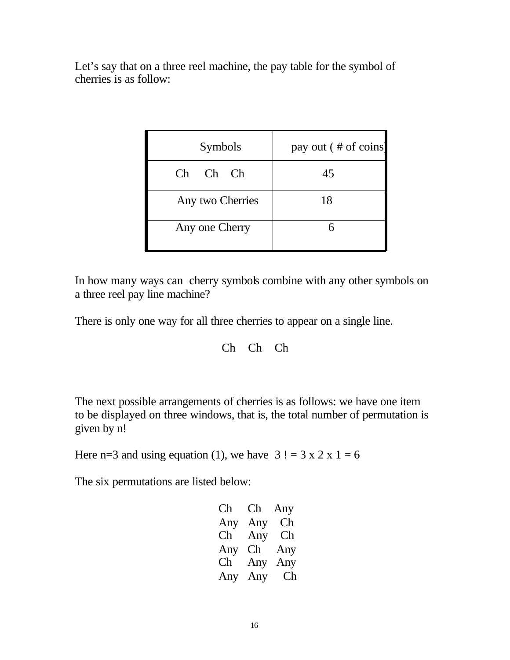Let's say that on a three reel machine, the pay table for the symbol of cherries is as follow:

| Symbols          | pay out (# of coins) |
|------------------|----------------------|
| Ch Ch<br>Ch      | 45                   |
| Any two Cherries | 18                   |
| Any one Cherry   |                      |

In how many ways can cherry symbols combine with any other symbols on a three reel pay line machine?

There is only one way for all three cherries to appear on a single line.

$$
Ch\quad Ch\quad Ch
$$

The next possible arrangements of cherries is as follows: we have one item to be displayed on three windows, that is, the total number of permutation is given by n!

Here n=3 and using equation (1), we have  $3! = 3 \times 2 \times 1 = 6$ 

The six permutations are listed below:

|  | Ch Ch Any  |            |
|--|------------|------------|
|  | Any Any Ch |            |
|  | Ch Any Ch  |            |
|  |            | Any Ch Any |
|  |            | Ch Any Any |
|  |            | Any Any Ch |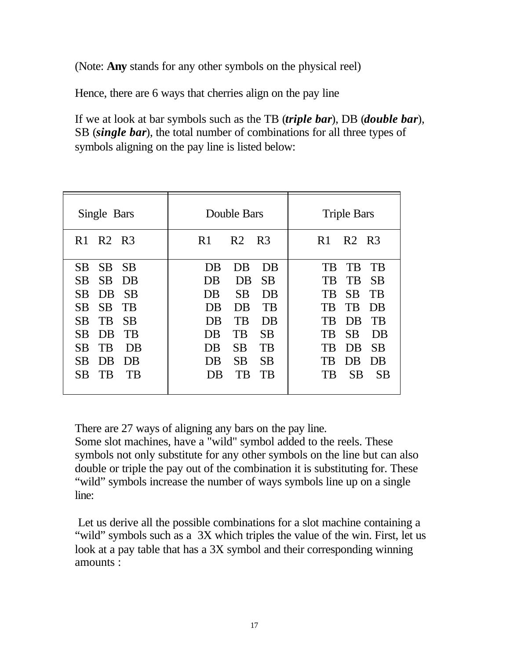(Note: **Any** stands for any other symbols on the physical reel)

Hence, there are 6 ways that cherries align on the pay line

If we at look at bar symbols such as the TB (*triple bar*), DB (*double bar*), SB (*single bar*), the total number of combinations for all three types of symbols aligning on the pay line is listed below:

| Single Bars | Double Bars                 | <b>Triple Bars</b>                  |
|-------------|-----------------------------|-------------------------------------|
| R1 R2 R3    | R <sub>1</sub><br>$R2$ $R3$ | R <sub>2</sub> R <sub>3</sub><br>R1 |
| <b>SB</b>   | DB                          | <b>TB</b>                           |
| <b>SB</b>   | DB                          | TB                                  |
| <b>SB</b>   | DB                          | TB                                  |
| <b>SB</b>   | <b>SB</b>                   | <b>SB</b>                           |
| <b>SB</b>   | DB                          | TB                                  |
| DB          | DB                          | TВ                                  |
| <b>SB</b>   | <b>SB</b>                   | <b>SB</b>                           |
| DB          | DB                          | TB                                  |
| <b>SB</b>   | DB                          | TB                                  |
| <b>SB</b>   | DB                          | TB                                  |
| <b>SB</b>   | TB                          | TB                                  |
| <b>TB</b>   | DB                          | DB                                  |
| <b>SB</b>   | DB                          | <b>TB</b>                           |
| <b>SB</b>   | DB                          | DB                                  |
| <b>TB</b>   | TB                          | TB                                  |
| <b>SB</b>   | SB                          | <b>SB</b>                           |
| DB          | DB                          | DB                                  |
| TB          | TB                          | TB                                  |
| <b>SB</b>   | <b>SB</b>                   | <b>SB</b>                           |
| DB          | TB                          | TB                                  |
| TB          | DB                          | DB                                  |
| <b>SB</b>   | <b>SB</b>                   | DB                                  |
| DB          | <b>SB</b>                   | DB                                  |
| DB          | DB                          | TB                                  |
| <b>SB</b>   | DB                          | <b>SB</b>                           |
| <b>TB</b>   | TВ                          | <b>SB</b>                           |
| TB          | TB                          | TВ                                  |

There are 27 ways of aligning any bars on the pay line.

Some slot machines, have a "wild" symbol added to the reels. These symbols not only substitute for any other symbols on the line but can also double or triple the pay out of the combination it is substituting for. These "wild" symbols increase the number of ways symbols line up on a single line:

 Let us derive all the possible combinations for a slot machine containing a "wild" symbols such as a 3X which triples the value of the win. First, let us look at a pay table that has a 3X symbol and their corresponding winning amounts :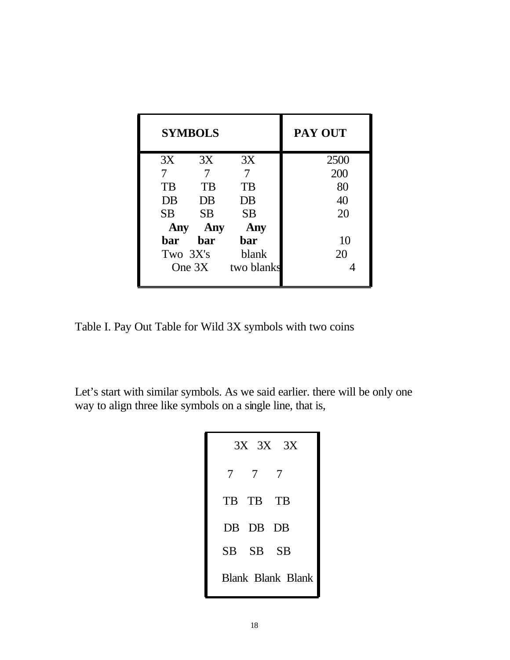| <b>SYMBOLS</b> |           |            | PAY OUT |
|----------------|-----------|------------|---------|
| 3X             | 3X        | 3X         | 2500    |
|                |           |            | 200     |
| TB             | <b>TB</b> | <b>TB</b>  | 80      |
| DB             | DB        | DB         | 40      |
| <b>SB</b>      | <b>SB</b> | <b>SB</b>  | 20      |
| Any            | Any       | Any        |         |
| <b>bar</b>     | bar       | bar        | 10      |
| Two $3X$ 's    |           | blank      | 20      |
|                | One $3X$  | two blanks |         |
|                |           |            |         |

Table I. Pay Out Table for Wild 3X symbols with two coins

Let's start with similar symbols. As we said earlier. there will be only one way to align three like symbols on a single line, that is,

| 3X 3X 3X                 |
|--------------------------|
| 7 7 7                    |
| TB TB TB                 |
| DB DB DB                 |
| SB SB SB                 |
| <b>Blank Blank Blank</b> |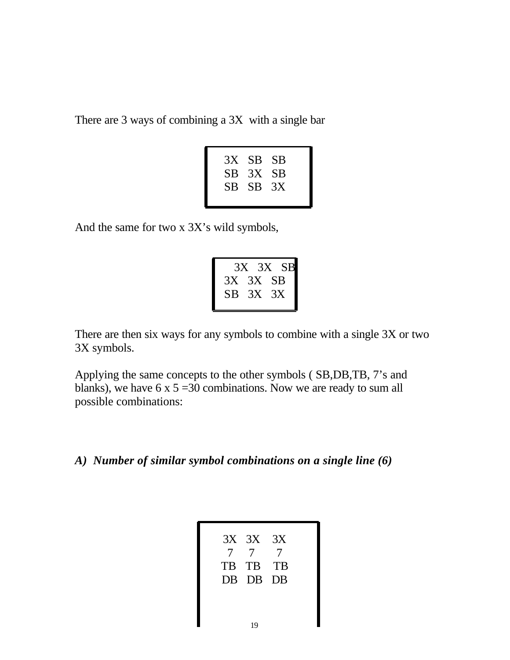There are 3 ways of combining a 3X with a single bar

| 3X SB SB |  |
|----------|--|
| SB 3X SB |  |
| SB SB 3X |  |
|          |  |

And the same for two x 3X's wild symbols,

| $3X \t3X \tSB$ |  |
|----------------|--|
| $3X$ $3X$ $SB$ |  |
| SB 3X 3X       |  |
|                |  |

There are then six ways for any symbols to combine with a single 3X or two 3X symbols.

Applying the same concepts to the other symbols ( SB,DB,TB, 7's and blanks), we have  $6 \times 5 = 30$  combinations. Now we are ready to sum all possible combinations:

*A) Number of similar symbol combinations on a single line (6)*

| $3X \quad 3X \quad 3X$ |    |   |  |
|------------------------|----|---|--|
| $\overline{7}$<br>7    |    | 7 |  |
| TB TB TB               |    |   |  |
| DB DB DB               |    |   |  |
|                        |    |   |  |
|                        |    |   |  |
|                        | 19 |   |  |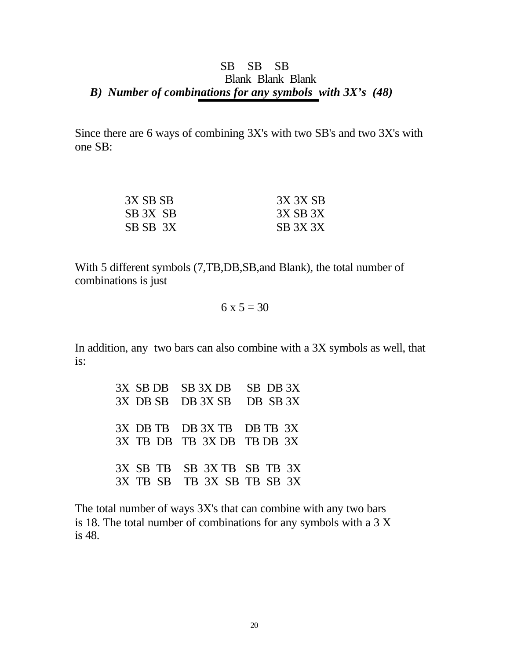## SB SB SB Blank Blank Blank *B) Number of combinations for any symbols with 3X's (48)*

Since there are 6 ways of combining 3X's with two SB's and two 3X's with one SB:

| $3X$ SB SB | 3X 3X SB     |
|------------|--------------|
| SB 3X SB   | $3X$ SB $3X$ |
| SB SB 3X   | $SB$ 3X 3X   |

With 5 different symbols (7,TB,DB,SB,and Blank), the total number of combinations is just

$$
6 \times 5 = 30
$$

In addition, any two bars can also combine with a 3X symbols as well, that is:

|  | $3X$ SB DB SB $3X$ DB SB DB $3X$ |  |
|--|----------------------------------|--|
|  | $3X$ DB SB DB $3X$ SB DB SB $3X$ |  |
|  |                                  |  |
|  | 3X DB TB DB 3X TB DB TB 3X       |  |
|  | 3X TB DB TB 3X DB TB DB 3X       |  |
|  |                                  |  |
|  | 3X SB TB SB 3X TB SB TB 3X       |  |
|  | 3X TB SB TB 3X SB TB SB 3X       |  |

The total number of ways 3X's that can combine with any two bars is 18. The total number of combinations for any symbols with a 3 X is 48.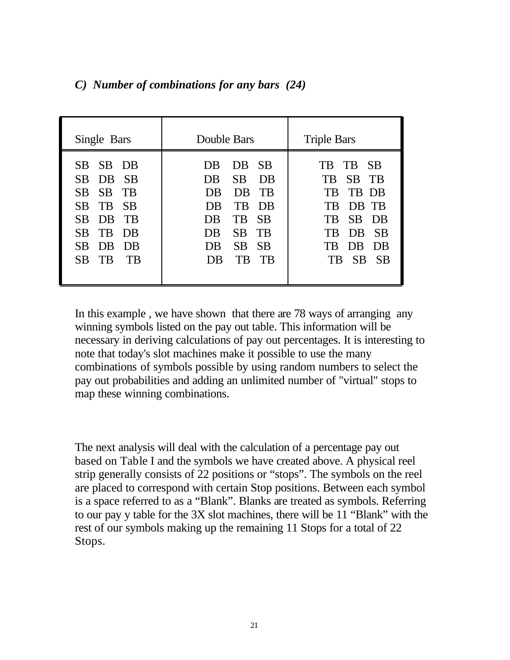| Single Bars                                                                                                                                                                                                                                                           | Double Bars                                                                                                                                                                                                            | <b>Triple Bars</b>                                                                                                                                                   |
|-----------------------------------------------------------------------------------------------------------------------------------------------------------------------------------------------------------------------------------------------------------------------|------------------------------------------------------------------------------------------------------------------------------------------------------------------------------------------------------------------------|----------------------------------------------------------------------------------------------------------------------------------------------------------------------|
| SB DB<br><b>SB</b><br><b>SB</b><br>D <sub>B</sub><br><b>SB</b><br><b>SB</b><br><b>SB</b><br><b>TB</b><br><b>SB</b><br><b>SB</b><br><b>TB</b><br><b>SB</b><br><b>TB</b><br>DB<br><b>SB</b><br>TB<br>DB<br><b>SB</b><br>DB<br>DB<br><b>SB</b><br><b>TB</b><br><b>TB</b> | -SB<br>DB.<br>DB<br><b>SB</b><br>DB<br>DB<br>DB<br><b>DB</b><br>TB<br>DB<br><b>TB</b><br>- DB<br><b>TB</b><br><b>SB</b><br>DB<br><b>SB</b><br><b>TB</b><br>DB<br><b>SB</b><br><b>SB</b><br>DB<br><b>TB</b><br>TB<br>DR | TB.<br>-SB<br>TB.<br>SB.<br>TB<br>- TB<br>TB<br>TB DB<br>TB<br>DB TB<br><b>SB</b><br>TB<br>- DB<br><b>SB</b><br>TB<br>DB<br>DB<br>TB<br>DB<br><b>SB</b><br>-SB<br>TB |

## *C) Number of combinations for any bars (24)*

In this example , we have shown that there are 78 ways of arranging any winning symbols listed on the pay out table. This information will be necessary in deriving calculations of pay out percentages. It is interesting to note that today's slot machines make it possible to use the many combinations of symbols possible by using random numbers to select the pay out probabilities and adding an unlimited number of "virtual" stops to map these winning combinations.

The next analysis will deal with the calculation of a percentage pay out based on Table I and the symbols we have created above. A physical reel strip generally consists of 22 positions or "stops". The symbols on the reel are placed to correspond with certain Stop positions. Between each symbol is a space referred to as a "Blank". Blanks are treated as symbols. Referring to our pay y table for the 3X slot machines, there will be 11 "Blank" with the rest of our symbols making up the remaining 11 Stops for a total of 22 Stops.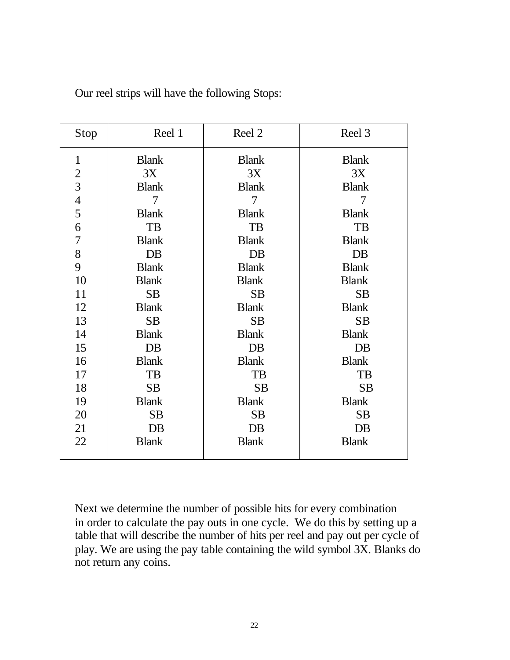| Stop           | Reel 1       | Reel 2       | Reel 3       |
|----------------|--------------|--------------|--------------|
| $\mathbf{1}$   | <b>Blank</b> | <b>Blank</b> | <b>Blank</b> |
|                | 3X           | 3X           | 3X           |
| $\frac{2}{3}$  | <b>Blank</b> | <b>Blank</b> | <b>Blank</b> |
| $\frac{4}{5}$  | 7            | 7            | 7            |
|                | <b>Blank</b> | <b>Blank</b> | <b>Blank</b> |
| 6              | TB           | TB           | TB           |
| $\overline{7}$ | <b>Blank</b> | <b>Blank</b> | <b>Blank</b> |
| 8              | DB           | DB           | DB           |
| 9              | <b>Blank</b> | <b>Blank</b> | <b>Blank</b> |
| 10             | <b>Blank</b> | <b>Blank</b> | <b>Blank</b> |
| 11             | <b>SB</b>    | <b>SB</b>    | <b>SB</b>    |
| 12             | <b>Blank</b> | <b>Blank</b> | <b>Blank</b> |
| 13             | <b>SB</b>    | <b>SB</b>    | <b>SB</b>    |
| 14             | <b>Blank</b> | <b>Blank</b> | <b>Blank</b> |
| 15             | DB           | DB           | DB           |
| 16             | <b>Blank</b> | <b>Blank</b> | <b>Blank</b> |
| 17             | TB           | TB           | TB           |
| 18             | <b>SB</b>    | <b>SB</b>    | <b>SB</b>    |
| 19             | <b>Blank</b> | <b>Blank</b> | <b>Blank</b> |
| 20             | <b>SB</b>    | <b>SB</b>    | <b>SB</b>    |
| 21             | DB           | DB           | DB           |
| 22             | <b>Blank</b> | <b>Blank</b> | <b>Blank</b> |

Our reel strips will have the following Stops:

Next we determine the number of possible hits for every combination in order to calculate the pay outs in one cycle. We do this by setting up a table that will describe the number of hits per reel and pay out per cycle of play. We are using the pay table containing the wild symbol 3X. Blanks do not return any coins.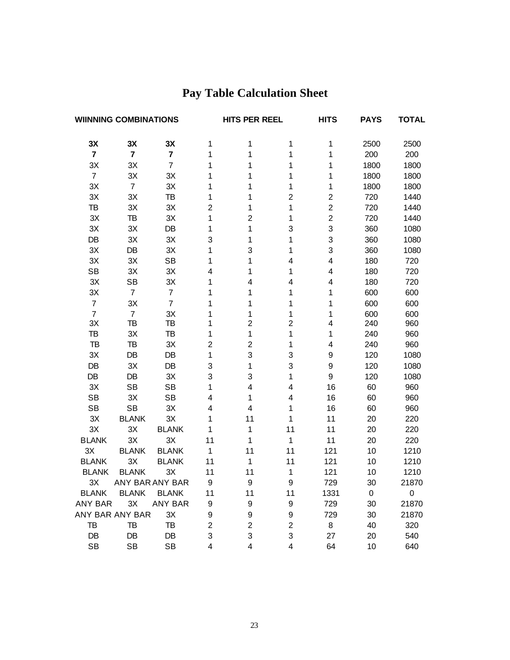# **Pay Table Calculation Sheet**

|                  | <b>WIINNING COMBINATIONS</b> |                         |                | HITS PER REEL  |                | <b>HITS</b>      | <b>PAYS</b><br><b>TOTAL</b> |       |
|------------------|------------------------------|-------------------------|----------------|----------------|----------------|------------------|-----------------------------|-------|
| 3X               | 3X                           | 3X                      | 1              | 1              | 1              | 1                | 2500                        | 2500  |
| $\overline{7}$   | $\overline{\mathbf{r}}$      | $\overline{\mathbf{r}}$ | 1              | 1              | 1              | 1                | 200                         | 200   |
| 3X               | 3X                           | $\overline{7}$          | 1              | 1              | 1              | 1                | 1800                        | 1800  |
| $\overline{7}$   | 3X                           | 3X                      | 1              | 1              | 1              | 1                | 1800                        | 1800  |
| 3X               | $\overline{7}$               | 3X                      | 1              | 1              | 1              | 1                | 1800                        | 1800  |
| 3X               | 3X                           | TB                      | 1              | 1              | $\mathbf{2}$   | $\mathbf{2}$     | 720                         | 1440  |
| TB               | 3X                           | 3X                      | $\overline{c}$ | 1              | 1              | $\overline{c}$   | 720                         | 1440  |
| 3X               | ТB                           | 3X                      | 1              | $\overline{2}$ | 1              | $\overline{c}$   | 720                         | 1440  |
| 3X               | 3X                           | DB                      | 1              | 1              | 3              | 3                | 360                         | 1080  |
| DB               | 3X                           | 3X                      | 3              | 1              | 1              | 3                | 360                         | 1080  |
| 3X               | DB                           | 3X                      | 1              | 3              | 1              | 3                | 360                         | 1080  |
| 3X               | 3X                           | SB                      | 1              | 1              | 4              | 4                | 180                         | 720   |
| <b>SB</b>        | 3X                           | 3X                      | 4              | 1              | 1              | 4                | 180                         | 720   |
| 3X               | <b>SB</b>                    | 3X                      | 1              | 4              | 4              | 4                | 180                         | 720   |
| 3X               | $\overline{7}$               | $\overline{7}$          | 1              | 1              | 1              | 1                | 600                         | 600   |
| $\boldsymbol{7}$ | 3X                           | $\overline{7}$          | 1              | 1              | 1              | 1                | 600                         | 600   |
| $\overline{7}$   | $\overline{7}$               | 3X                      | 1              | 1              | 1              | 1                | 600                         | 600   |
| 3X               | ТB                           | TB                      | 1              | $\overline{2}$ | $\overline{c}$ | 4                | 240                         | 960   |
| TB               | 3X                           | ТB                      | 1              | 1              | 1              | 1                | 240                         | 960   |
| TB               | TB                           | 3X                      | $\overline{c}$ | $\overline{2}$ | $\mathbf 1$    | 4                | 240                         | 960   |
| 3X               | DB                           | DB                      | 1              | 3              | 3              | 9                | 120                         | 1080  |
| DB               | 3X                           | DB                      | 3              | 1              | 3              | 9                | 120                         | 1080  |
| DB               | DB                           | 3X                      | 3              | 3              | 1              | $\boldsymbol{9}$ | 120                         | 1080  |
| 3X               | <b>SB</b>                    | <b>SB</b>               | 1              | 4              | 4              | 16               | 60                          | 960   |
| <b>SB</b>        | 3X                           | <b>SB</b>               | 4              | 1              | 4              | 16               | 60                          | 960   |
| <b>SB</b>        | <b>SB</b>                    | 3X                      | 4              | 4              | 1              | 16               | 60                          | 960   |
| 3X               | <b>BLANK</b>                 | 3X                      | 1              | 11             | 1              | 11               | 20                          | 220   |
| 3X               | 3X                           | <b>BLANK</b>            | 1              | 1              | 11             | 11               | 20                          | 220   |
| <b>BLANK</b>     | 3X                           | 3X                      | 11             | 1              | $\mathbf 1$    | 11               | 20                          | 220   |
| 3X               | <b>BLANK</b>                 | <b>BLANK</b>            | 1              | 11             | 11             | 121              | 10                          | 1210  |
| <b>BLANK</b>     | 3X                           | <b>BLANK</b>            | 11             | 1              | 11             | 121              | 10                          | 1210  |
| <b>BLANK</b>     | <b>BLANK</b>                 | 3X                      | 11             | 11             | $\mathbf 1$    | 121              | 10                          | 1210  |
| 3X               |                              | ANY BAR ANY BAR         | 9              | 9              | 9              | 729              | 30                          | 21870 |
| <b>BLANK</b>     | <b>BLANK</b>                 | <b>BLANK</b>            | 11             | 11             | 11             | 1331             | 0                           | 0     |
| ANY BAR          | 3X                           | <b>ANY BAR</b>          | 9              | 9              | 9              | 729              | 30                          | 21870 |
|                  | ANY BAR ANY BAR              | 3X                      | 9              | 9              | 9              | 729              | 30                          | 21870 |
| TB               | TB                           | TB                      | $\overline{2}$ | $\overline{2}$ | $\overline{2}$ | 8                | 40                          | 320   |
| DB               | DB                           | DB                      | 3              | 3              | 3              | 27               | 20                          | 540   |
| <b>SB</b>        | <b>SB</b>                    | <b>SB</b>               | 4              | 4              | 4              | 64               | 10                          | 640   |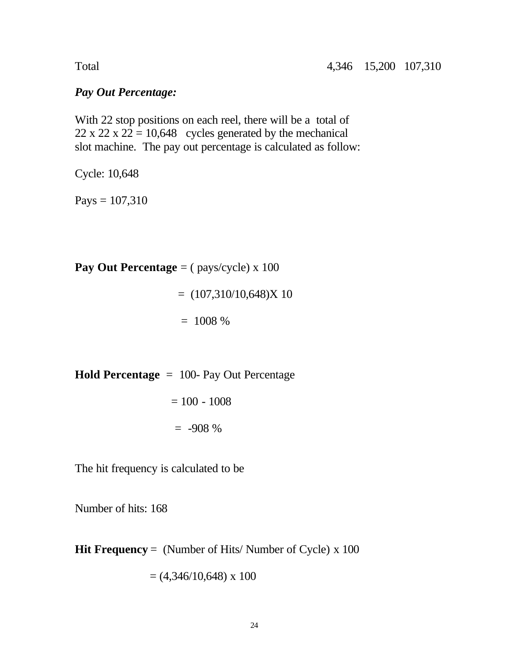# *Pay Out Percentage:*

With 22 stop positions on each reel, there will be a total of 22 x 22 x 22 = 10,648 cycles generated by the mechanical slot machine. The pay out percentage is calculated as follow:

Cycle: 10,648

 $Pays = 107,310$ 

**Pay Out Percentage** = ( pays/cycle) x 100

 $= (107,310/10,648)X10$ 

 $= 1008 %$ 

**Hold Percentage** = 100- Pay Out Percentage

$$
= 100 - 1008
$$

$$
= -908\%
$$

The hit frequency is calculated to be

Number of hits: 168

**Hit Frequency** = (Number of Hits/ Number of Cycle) x 100

 $= (4,346/10,648) \times 100$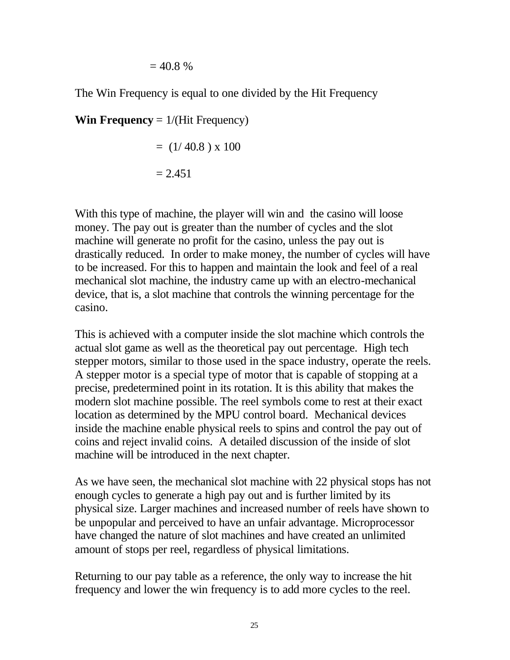$= 40.8 %$ 

The Win Frequency is equal to one divided by the Hit Frequency

**Win Frequency** = 1/(Hit Frequency)

$$
= (1/40.8) \times 100
$$

$$
=2.451
$$

With this type of machine, the player will win and the casino will loose money. The pay out is greater than the number of cycles and the slot machine will generate no profit for the casino, unless the pay out is drastically reduced. In order to make money, the number of cycles will have to be increased. For this to happen and maintain the look and feel of a real mechanical slot machine, the industry came up with an electro-mechanical device, that is, a slot machine that controls the winning percentage for the casino.

This is achieved with a computer inside the slot machine which controls the actual slot game as well as the theoretical pay out percentage. High tech stepper motors, similar to those used in the space industry, operate the reels. A stepper motor is a special type of motor that is capable of stopping at a precise, predetermined point in its rotation. It is this ability that makes the modern slot machine possible. The reel symbols come to rest at their exact location as determined by the MPU control board. Mechanical devices inside the machine enable physical reels to spins and control the pay out of coins and reject invalid coins. A detailed discussion of the inside of slot machine will be introduced in the next chapter.

As we have seen, the mechanical slot machine with 22 physical stops has not enough cycles to generate a high pay out and is further limited by its physical size. Larger machines and increased number of reels have shown to be unpopular and perceived to have an unfair advantage. Microprocessor have changed the nature of slot machines and have created an unlimited amount of stops per reel, regardless of physical limitations.

Returning to our pay table as a reference, the only way to increase the hit frequency and lower the win frequency is to add more cycles to the reel.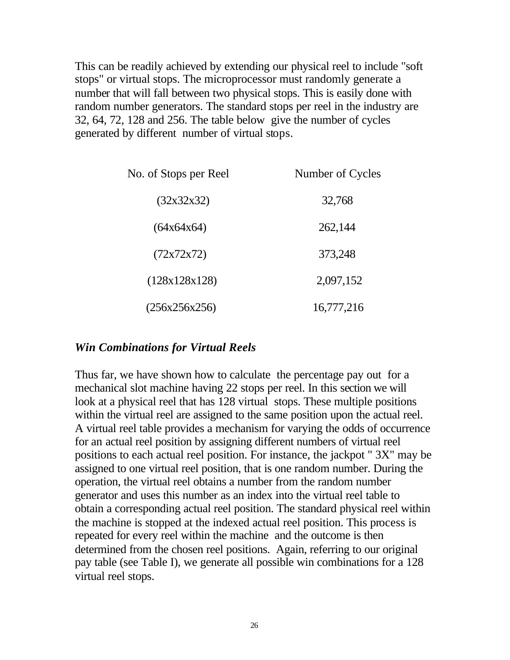This can be readily achieved by extending our physical reel to include "soft stops" or virtual stops. The microprocessor must randomly generate a number that will fall between two physical stops. This is easily done with random number generators. The standard stops per reel in the industry are 32, 64, 72, 128 and 256. The table below give the number of cycles generated by different number of virtual stops.

| No. of Stops per Reel | Number of Cycles |
|-----------------------|------------------|
| (32x32x32)            | 32,768           |
| (64x64x64)            | 262,144          |
| (72x72x72)            | 373,248          |
| (128x128x128)         | 2,097,152        |
| (256x256x256)         | 16,777,216       |

#### *Win Combinations for Virtual Reels*

Thus far, we have shown how to calculate the percentage pay out for a mechanical slot machine having 22 stops per reel. In this section we will look at a physical reel that has 128 virtual stops. These multiple positions within the virtual reel are assigned to the same position upon the actual reel. A virtual reel table provides a mechanism for varying the odds of occurrence for an actual reel position by assigning different numbers of virtual reel positions to each actual reel position. For instance, the jackpot " 3X" may be assigned to one virtual reel position, that is one random number. During the operation, the virtual reel obtains a number from the random number generator and uses this number as an index into the virtual reel table to obtain a corresponding actual reel position. The standard physical reel within the machine is stopped at the indexed actual reel position. This process is repeated for every reel within the machine and the outcome is then determined from the chosen reel positions. Again, referring to our original pay table (see Table I), we generate all possible win combinations for a 128 virtual reel stops.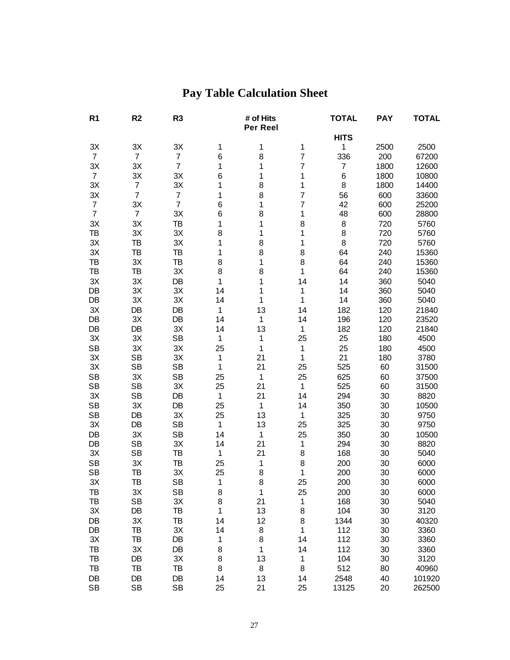# **Pay Table Calculation Sheet**

| R <sub>1</sub> | R <sub>2</sub>  | R <sub>3</sub>   |                   | # of Hits<br>Per Reel |                   | <b>TOTAL</b>   | <b>PAY</b> | <b>TOTAL</b>  |
|----------------|-----------------|------------------|-------------------|-----------------------|-------------------|----------------|------------|---------------|
|                |                 |                  |                   |                       |                   | <b>HITS</b>    |            |               |
| 3X             | 3X              | 3X               | 1                 | 1                     | 1                 | 1              | 2500       | 2500          |
| $\overline{7}$ | $\overline{7}$  | $\overline{7}$   | 6                 | $\,8\,$               | $\overline{7}$    | 336            | 200        | 67200         |
| 3X             | 3X              | $\overline{7}$   | 1                 | 1                     | $\overline{7}$    | $\overline{7}$ | 1800       | 12600         |
| $\overline{7}$ | 3X              | 3X               | 6                 | 1                     | 1                 | 6              | 1800       | 10800         |
| 3X             | 7               | 3X               | 1                 | 8                     | 1                 | 8              | 1800       | 14400         |
| 3X             | $\overline{7}$  | $\boldsymbol{7}$ | 1                 | 8                     | $\overline{7}$    | 56             | 600        | 33600         |
| $\overline{7}$ | 3X              | $\overline{7}$   | 6                 | 1                     | 7                 | 42             | 600        | 25200         |
| $\overline{7}$ | 7               | 3X               | 6                 | 8                     | 1                 | 48             | 600        | 28800         |
| 3X             | 3X              | TB               | 1                 | 1                     | 8                 | 8              | 720        | 5760          |
| TB             | 3X              | 3X               | 8                 | 1                     | 1                 | 8              | 720        | 5760          |
| 3X             | TB              | 3X               | 1                 | 8                     | 1                 | 8              | 720        | 5760          |
| 3X             | TB              | TB               | 1                 | 8                     | 8                 | 64             | 240        | 15360         |
| TB             | 3X              | TB               | 8                 | 1                     | 8                 | 64             | 240        | 15360         |
| TB             | TB              | 3X               | 8                 | 8                     | 1                 | 64             | 240        | 15360         |
| 3X             | 3X              | DB               | 1                 | 1                     | 14                | 14             | 360        | 5040          |
| DB             | 3X              | 3X               | 14                | 1                     | 1                 | 14             | 360        | 5040          |
| DB             | 3X              | 3X               | 14                | 1                     | 1                 | 14             | 360        | 5040          |
| 3X             | DB              | DB               | 1                 | 13                    | 14                | 182            | 120        | 21840         |
| DB             | 3X              | DB               | 14                | 1                     | 14                | 196            | 120        | 23520         |
| DB             | DB              | 3X               | 14                | 13                    | 1                 | 182            | 120        | 21840         |
| 3X             | 3X              | SB               | 1                 | 1                     | 25                | 25             | 180        | 4500          |
| <b>SB</b>      | 3X              | 3X               | 25                | 1                     | 1                 | 25             | 180        | 4500          |
| 3X             | <b>SB</b>       | 3X               | 1                 | 21                    | 1                 | 21             | 180        | 3780          |
| 3X             | <b>SB</b>       | SB               | 1                 | 21                    | 25                | 525            | 60         | 31500         |
| <b>SB</b>      | 3X              | SB               | 25                | $\mathbf{1}$          | 25                | 625            | 60         | 37500         |
| <b>SB</b>      | <b>SB</b>       | 3X               | 25                | 21                    | $\mathbf{1}$      | 525            | 60         | 31500         |
| 3X             | <b>SB</b>       | DB               | $\mathbf{1}$      | 21                    | 14                | 294            | 30         | 8820          |
| <b>SB</b>      | 3X              | DB               | 25                | $\mathbf{1}$          | 14                | 350            | 30         | 10500         |
| <b>SB</b>      | DB              | 3X               | 25                | 13                    | $\mathbf{1}$      | 325            | 30         | 9750          |
| 3X             | DB              | <b>SB</b>        | 1                 | 13                    | 25                | 325            | 30         | 9750          |
| DB             | 3X              | <b>SB</b>        | 14                | $\mathbf 1$           | 25                | 350            | 30         | 10500         |
| DB             | <b>SB</b>       | 3X               | 14                | 21                    | 1                 | 294            | 30         | 8820          |
| 3X             | <b>SB</b>       | TB               | 1                 | 21                    | 8                 | 168            | 30         | 5040          |
| <b>SB</b>      | 3X              | TB               | 25                | 1                     | 8                 | 200            | 30         | 6000          |
| <b>SB</b>      | ТB              | 3X               | 25                | 8                     | 1                 | 200            | 30         | 6000          |
| 3X             | ТB              | <b>SB</b>        | 1                 | 8                     | 25                | 200            | 30         | 6000          |
| ТB             | 3X              | SВ<br>3X         | 8                 | $\mathbf 1$           | 25                | 200            | 30         | 6000          |
| ТB<br>$3X$     | <b>SB</b><br>DB | TB               | 8<br>$\mathbf{1}$ | 21<br>13              | $\mathbf 1$<br>8  | 168<br>104     | 30         | 5040          |
|                |                 |                  |                   |                       |                   |                | 30         | 3120          |
| DB<br>DB       | 3X<br>TB        | ТB<br>3X         | 14<br>14          | 12<br>8               | 8<br>$\mathbf{1}$ | 1344<br>112    | 30<br>30   | 40320<br>3360 |
| 3X             | TB              | DB               |                   | 8                     | 14                | 112            | 30         | 3360          |
| ТB             | 3X              | DB               | 1                 | 1                     | 14                | 112            | 30         |               |
| ТB             | DB              | 3X               | 8<br>8            | 13                    | $\mathbf 1$       | 104            | 30         | 3360<br>3120  |
| TB             | TB              | TB               | 8                 | 8                     | 8                 | 512            | 80         | 40960         |
| DB             | DB              | DB               | 14                | 13                    | 14                | 2548           | 40         | 101920        |
| SB             | <b>SB</b>       | SB               | 25                | 21                    | 25                | 13125          | 20         | 262500        |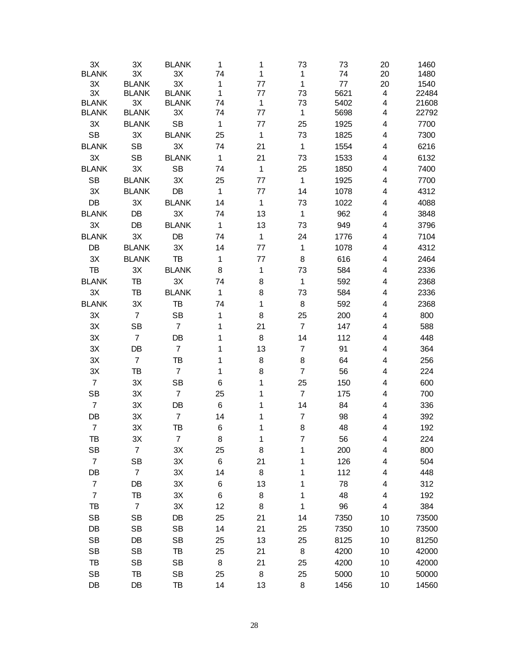| 3X                           | 3X             | <b>BLANK</b>   | $\mathbf{1}$ | $\mathbf 1$  | 73             | 73   | 20 | 1460           |
|------------------------------|----------------|----------------|--------------|--------------|----------------|------|----|----------------|
| <b>BLANK</b>                 | $3X$           | 3X             | 74           | 1            | 1              | 74   | 20 | 1480           |
| 3X                           | <b>BLANK</b>   | 3X             | $\mathbf 1$  | 77           | 1              | 77   | 20 | 1540           |
| 3X                           | <b>BLANK</b>   | <b>BLANK</b>   | $\mathbf{1}$ | 77           | 73             | 5621 | 4  | 22484          |
| <b>BLANK</b><br><b>BLANK</b> | 3X             | <b>BLANK</b>   | 74<br>74     | $\mathbf 1$  | 73             | 5402 | 4  | 21608<br>22792 |
|                              | <b>BLANK</b>   | 3X             |              | 77           | 1              | 5698 | 4  |                |
| $3X$                         | <b>BLANK</b>   | <b>SB</b>      | $\mathbf{1}$ | 77           | 25             | 1925 | 4  | 7700           |
| <b>SB</b>                    | 3X             | <b>BLANK</b>   | 25           | $\mathbf{1}$ | 73             | 1825 | 4  | 7300           |
| <b>BLANK</b>                 | <b>SB</b>      | 3X             | 74           | 21           | 1              | 1554 | 4  | 6216           |
| $3X$                         | <b>SB</b>      | <b>BLANK</b>   | $\mathbf{1}$ | 21           | 73             | 1533 | 4  | 6132           |
| <b>BLANK</b>                 | 3X             | <b>SB</b>      | 74           | $\mathbf{1}$ | 25             | 1850 | 4  | 7400           |
| <b>SB</b>                    | <b>BLANK</b>   | 3X             | 25           | 77           | $\mathbf{1}$   | 1925 | 4  | 7700           |
| $3X$                         | <b>BLANK</b>   | DB             | $\mathbf{1}$ | 77           | 14             | 1078 | 4  | 4312           |
| DB                           | 3X             | <b>BLANK</b>   | 14           | $\mathbf 1$  | 73             | 1022 | 4  | 4088           |
| <b>BLANK</b>                 | DB             | $3X$           | 74           | 13           | $\mathbf{1}$   | 962  | 4  | 3848           |
| $3\mathrm{X}$                | DB             | <b>BLANK</b>   | $\mathbf{1}$ | 13           | 73             | 949  | 4  | 3796           |
| <b>BLANK</b>                 | 3X             | DB             | 74           | $\mathbf{1}$ | 24             | 1776 | 4  | 7104           |
| DB                           | <b>BLANK</b>   | 3X             | 14           | 77           | 1              | 1078 | 4  | 4312           |
| $3\!\!\!\!\!\times$          | <b>BLANK</b>   | TB             | $\mathbf{1}$ | 77           | 8              | 616  | 4  | 2464           |
| TB                           | 3X             | <b>BLANK</b>   | 8            | $\mathbf 1$  | 73             | 584  | 4  | 2336           |
| <b>BLANK</b>                 | TB             | 3X             | 74           | 8            | $\mathbf{1}$   | 592  | 4  | 2368           |
| $3X$                         | TB             | <b>BLANK</b>   | $\mathbf{1}$ | 8            | 73             | 584  | 4  | 2336           |
| <b>BLANK</b>                 | 3X             | TB             | 74           | $\mathbf 1$  | 8              | 592  | 4  | 2368           |
| 3X                           | $\overline{7}$ | SB             | $\mathbf{1}$ | 8            | 25             | 200  | 4  | 800            |
| $3X$                         | <b>SB</b>      | $\overline{7}$ | 1            | 21           | $\overline{7}$ | 147  | 4  | 588            |
| $3X$                         | 7              | DB             | 1            | 8            | 14             | 112  | 4  | 448            |
| $3X$                         | DB             | $\overline{7}$ | 1            | 13           | $\overline{7}$ | 91   | 4  | 364            |
| $3X$                         | $\overline{7}$ | TB             | 1            | 8            | 8              | 64   | 4  | 256            |
| $3X$                         | TB             | $\overline{7}$ | 1            | 8            | 7              | 56   | 4  | 224            |
| $\overline{7}$               | 3X             | <b>SB</b>      | 6            | 1            | 25             | 150  | 4  | 600            |
| <b>SB</b>                    | 3X             | $\overline{7}$ | 25           | 1            | $\overline{7}$ | 175  | 4  | 700            |
| $\overline{7}$               | 3X             | DB             | 6            | 1            | 14             | 84   | 4  | 336            |
| DB                           | 3X             | $\overline{7}$ | 14           | 1            | 7              | 98   | 4  | 392            |
| $\overline{7}$               | 3X             | TB             | 6            | 1            | 8              | 48   | 4  | 192            |
| ТB                           | 3X             | $\overline{7}$ | 8            | $\mathbf 1$  | 7              | 56   | 4  | 224            |
| SB                           | $\overline{7}$ | 3X             | 25           | 8            | 1              | 200  | 4  | 800            |
| $\overline{7}$               | <b>SB</b>      | 3X             | 6            | 21           | 1              | 126  | 4  | 504            |
| DB                           | $\overline{7}$ | 3X             | 14           | 8            | 1              | 112  | 4  | 448            |
| $\overline{7}$               | DB             | 3X             | 6            | 13           | 1              | 78   | 4  | 312            |
| $\overline{7}$               | TB             | 3X             | 6            | 8            | 1              | 48   | 4  | 192            |
| TB                           | $\overline{7}$ | 3X             | 12           | 8            | 1              | 96   | 4  | 384            |
| SB                           | <b>SB</b>      | DB             | 25           | 21           | 14             | 7350 | 10 | 73500          |
| DB                           | SB             | SB             | 14           | 21           | 25             | 7350 | 10 | 73500          |
|                              |                |                |              |              |                |      |    |                |
| SB                           | DB             | <b>SB</b>      | 25           | 13           | 25             | 8125 | 10 | 81250          |
| SB                           | <b>SB</b>      | TB             | 25           | 21           | 8              | 4200 | 10 | 42000          |
| TB                           | <b>SB</b>      | SB             | 8            | 21           | 25             | 4200 | 10 | 42000          |
| SB                           | TB             | SB             | 25           | 8            | 25             | 5000 | 10 | 50000          |
| DB                           | DB             | TB             | 14           | 13           | 8              | 1456 | 10 | 14560          |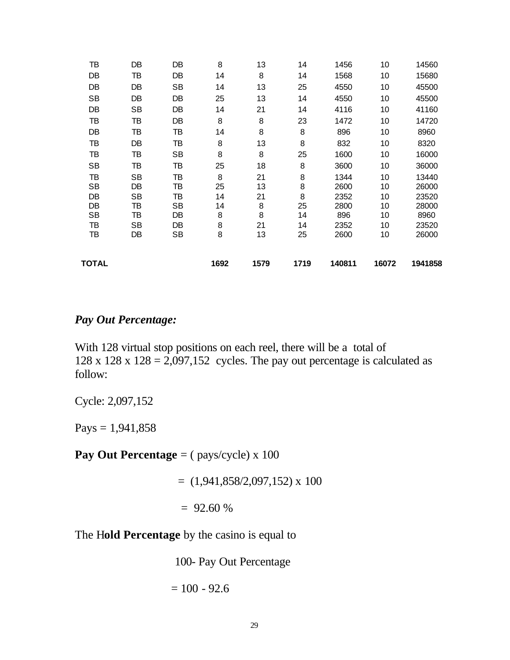| TOTAL     |           |    | 1692 | 1579 | 1719 | 140811 | 16072 | 1941858 |
|-----------|-----------|----|------|------|------|--------|-------|---------|
|           |           |    |      |      |      |        |       |         |
| TB        | DB        | SВ | 8    | 13   | 25   | 2600   | 10    | 26000   |
| ТB        | <b>SB</b> | DB | 8    | 21   | 14   | 2352   | 10    | 23520   |
| <b>SB</b> | ТB        | DB | 8    | 8    | 14   | 896    | 10    | 8960    |
| DB        | ТB        | SВ | 14   | 8    | 25   | 2800   | 10    | 28000   |
| DB        | <b>SB</b> | ТB | 14   | 21   | 8    | 2352   | 10    | 23520   |
| SB        | DB        | TB | 25   | 13   | 8    | 2600   | 10    | 26000   |
| ТB        | SB        | ТB | 8    | 21   | 8    | 1344   | 10    | 13440   |
| <b>SB</b> | ТB        | ТB | 25   | 18   | 8    | 3600   | 10    | 36000   |
| TB        | ТB        | SB | 8    | 8    | 25   | 1600   | 10    | 16000   |
| TB        | DB        | ТB | 8    | 13   | 8    | 832    | 10    | 8320    |
| DB        | ТB        | ТB | 14   | 8    | 8    | 896    | 10    | 8960    |
| TB        | ТB        | DB | 8    | 8    | 23   | 1472   | 10    | 14720   |
| DB        | <b>SB</b> | DB | 14   | 21   | 14   | 4116   | 10    | 41160   |
| <b>SB</b> | DB        | DB | 25   | 13   | 14   | 4550   | 10    | 45500   |
| DB        | DB        | SB | 14   | 13   | 25   | 4550   | 10    | 45500   |
| DB        | ТB        | DB | 14   | 8    | 14   | 1568   | 10    | 15680   |
| ТB        | DB        | DB | 8    | 13   | 14   | 1456   | 10    | 14560   |
|           |           |    |      |      |      |        |       |         |

## *Pay Out Percentage:*

With 128 virtual stop positions on each reel, there will be a total of 128 x 128 x 128 =  $2,097,152$  cycles. The pay out percentage is calculated as follow:

Cycle: 2,097,152

 $Pays = 1,941,858$ 

**Pay Out Percentage** = ( pays/cycle) x 100

 $=$  (1,941,858/2,097,152) x 100

 $= 92.60 %$ 

The H**old Percentage** by the casino is equal to

100- Pay Out Percentage

 $= 100 - 92.6$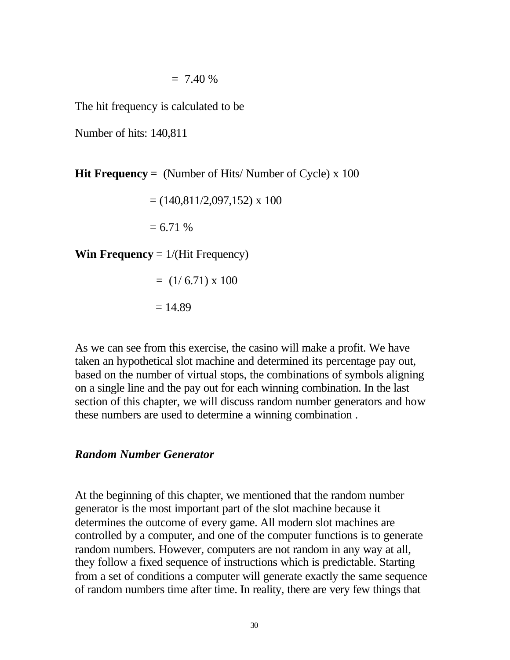$= 7.40 %$ 

The hit frequency is calculated to be

Number of hits: 140,811

**Hit Frequency** = (Number of Hits/ Number of Cycle) x 100

 $= (140,811/2,097,152) \times 100$ 

 $= 6.71 %$ 

**Win Frequency** = 1/(Hit Frequency)

 $= (1/6.71) \times 100$  $= 14.89$ 

As we can see from this exercise, the casino will make a profit. We have taken an hypothetical slot machine and determined its percentage pay out, based on the number of virtual stops, the combinations of symbols aligning on a single line and the pay out for each winning combination. In the last section of this chapter, we will discuss random number generators and how these numbers are used to determine a winning combination .

#### *Random Number Generator*

At the beginning of this chapter, we mentioned that the random number generator is the most important part of the slot machine because it determines the outcome of every game. All modern slot machines are controlled by a computer, and one of the computer functions is to generate random numbers. However, computers are not random in any way at all, they follow a fixed sequence of instructions which is predictable. Starting from a set of conditions a computer will generate exactly the same sequence of random numbers time after time. In reality, there are very few things that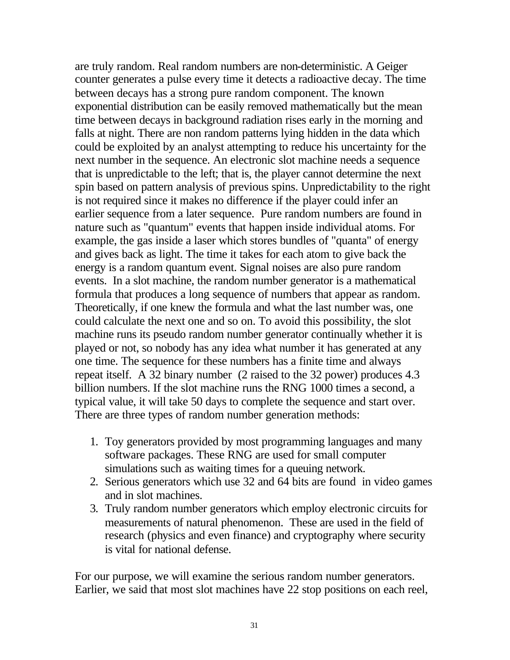are truly random. Real random numbers are non-deterministic. A Geiger counter generates a pulse every time it detects a radioactive decay. The time between decays has a strong pure random component. The known exponential distribution can be easily removed mathematically but the mean time between decays in background radiation rises early in the morning and falls at night. There are non random patterns lying hidden in the data which could be exploited by an analyst attempting to reduce his uncertainty for the next number in the sequence. An electronic slot machine needs a sequence that is unpredictable to the left; that is, the player cannot determine the next spin based on pattern analysis of previous spins. Unpredictability to the right is not required since it makes no difference if the player could infer an earlier sequence from a later sequence. Pure random numbers are found in nature such as "quantum" events that happen inside individual atoms. For example, the gas inside a laser which stores bundles of "quanta" of energy and gives back as light. The time it takes for each atom to give back the energy is a random quantum event. Signal noises are also pure random events. In a slot machine, the random number generator is a mathematical formula that produces a long sequence of numbers that appear as random. Theoretically, if one knew the formula and what the last number was, one could calculate the next one and so on. To avoid this possibility, the slot machine runs its pseudo random number generator continually whether it is played or not, so nobody has any idea what number it has generated at any one time. The sequence for these numbers has a finite time and always repeat itself. A 32 binary number (2 raised to the 32 power) produces 4.3 billion numbers. If the slot machine runs the RNG 1000 times a second, a typical value, it will take 50 days to complete the sequence and start over. There are three types of random number generation methods:

- 1. Toy generators provided by most programming languages and many software packages. These RNG are used for small computer simulations such as waiting times for a queuing network.
- 2. Serious generators which use 32 and 64 bits are found in video games and in slot machines.
- 3. Truly random number generators which employ electronic circuits for measurements of natural phenomenon. These are used in the field of research (physics and even finance) and cryptography where security is vital for national defense.

For our purpose, we will examine the serious random number generators. Earlier, we said that most slot machines have 22 stop positions on each reel,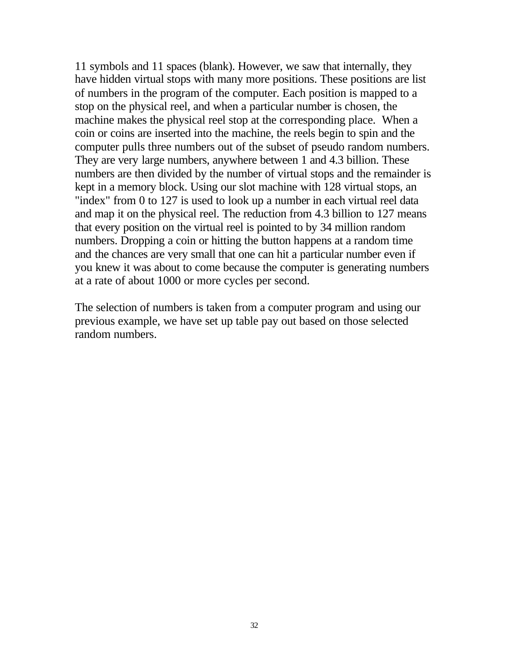11 symbols and 11 spaces (blank). However, we saw that internally, they have hidden virtual stops with many more positions. These positions are list of numbers in the program of the computer. Each position is mapped to a stop on the physical reel, and when a particular number is chosen, the machine makes the physical reel stop at the corresponding place. When a coin or coins are inserted into the machine, the reels begin to spin and the computer pulls three numbers out of the subset of pseudo random numbers. They are very large numbers, anywhere between 1 and 4.3 billion. These numbers are then divided by the number of virtual stops and the remainder is kept in a memory block. Using our slot machine with 128 virtual stops, an "index" from 0 to 127 is used to look up a number in each virtual reel data and map it on the physical reel. The reduction from 4.3 billion to 127 means that every position on the virtual reel is pointed to by 34 million random numbers. Dropping a coin or hitting the button happens at a random time and the chances are very small that one can hit a particular number even if you knew it was about to come because the computer is generating numbers at a rate of about 1000 or more cycles per second.

The selection of numbers is taken from a computer program and using our previous example, we have set up table pay out based on those selected random numbers.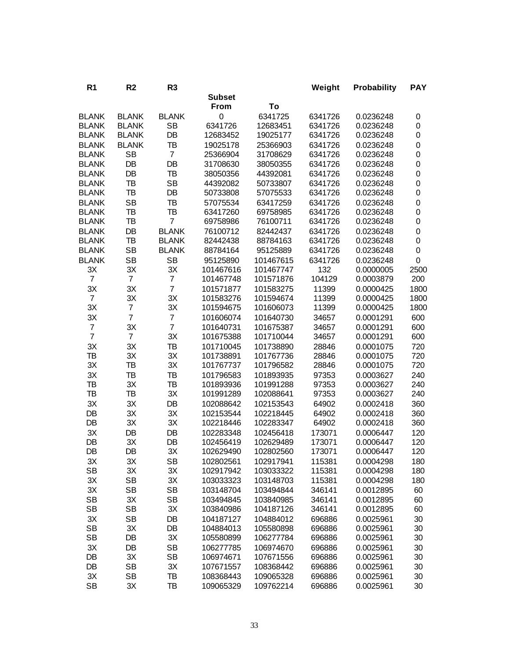| R <sub>1</sub> | R <sub>2</sub> | R <sub>3</sub> |               |           | Weight  | Probability | <b>PAY</b> |
|----------------|----------------|----------------|---------------|-----------|---------|-------------|------------|
|                |                |                | <b>Subset</b> |           |         |             |            |
|                |                |                | From          | To        |         |             |            |
| <b>BLANK</b>   | <b>BLANK</b>   | <b>BLANK</b>   | 0             | 6341725   | 6341726 | 0.0236248   | 0          |
| <b>BLANK</b>   | <b>BLANK</b>   | <b>SB</b>      | 6341726       | 12683451  | 6341726 | 0.0236248   | 0          |
| <b>BLANK</b>   | <b>BLANK</b>   | DB             | 12683452      | 19025177  | 6341726 | 0.0236248   | 0          |
| <b>BLANK</b>   | <b>BLANK</b>   | TB             | 19025178      | 25366903  | 6341726 | 0.0236248   | 0          |
| <b>BLANK</b>   | <b>SB</b>      | 7              | 25366904      | 31708629  | 6341726 | 0.0236248   | 0          |
| <b>BLANK</b>   | DB             | DB             | 31708630      | 38050355  | 6341726 | 0.0236248   | 0          |
| <b>BLANK</b>   | DB             | TB             | 38050356      | 44392081  | 6341726 | 0.0236248   | 0          |
| <b>BLANK</b>   | TB             | <b>SB</b>      | 44392082      | 50733807  | 6341726 | 0.0236248   | 0          |
| <b>BLANK</b>   | TB             | DB             | 50733808      | 57075533  | 6341726 | 0.0236248   | 0          |
| <b>BLANK</b>   | <b>SB</b>      | TB             | 57075534      | 63417259  | 6341726 | 0.0236248   | 0          |
| <b>BLANK</b>   | TB             | TB             | 63417260      | 69758985  | 6341726 | 0.0236248   | 0          |
| <b>BLANK</b>   | TB             | $\overline{7}$ | 69758986      | 76100711  | 6341726 | 0.0236248   | 0          |
| <b>BLANK</b>   | DB             | <b>BLANK</b>   | 76100712      | 82442437  | 6341726 | 0.0236248   | 0          |
| <b>BLANK</b>   | TB             | <b>BLANK</b>   | 82442438      | 88784163  | 6341726 | 0.0236248   | 0          |
| <b>BLANK</b>   | <b>SB</b>      | <b>BLANK</b>   | 88784164      | 95125889  | 6341726 | 0.0236248   | 0          |
| <b>BLANK</b>   | <b>SB</b>      | <b>SB</b>      | 95125890      | 101467615 | 6341726 | 0.0236248   | 0          |
| 3X             | 3X             | 3X             | 101467616     | 101467747 | 132     | 0.0000005   | 2500       |
| $\overline{7}$ | 7              | 7              | 101467748     | 101571876 | 104129  | 0.0003879   | 200        |
| 3X             | 3X             | $\overline{7}$ | 101571877     | 101583275 | 11399   | 0.0000425   | 1800       |
| $\overline{7}$ | 3X             | 3X             | 101583276     | 101594674 | 11399   | 0.0000425   | 1800       |
| 3X             | $\overline{7}$ | 3X             | 101594675     | 101606073 | 11399   | 0.0000425   | 1800       |
| 3X             | $\overline{7}$ | $\overline{7}$ | 101606074     | 101640730 | 34657   | 0.0001291   | 600        |
| 7              | 3X             | $\overline{7}$ | 101640731     | 101675387 | 34657   | 0.0001291   | 600        |
| $\overline{7}$ | $\overline{7}$ | 3X             | 101675388     | 101710044 | 34657   | 0.0001291   | 600        |
| 3X             | 3X             | TB             | 101710045     | 101738890 | 28846   | 0.0001075   | 720        |
| TB             | 3X             | 3X             | 101738891     | 101767736 | 28846   | 0.0001075   | 720        |
| 3X             | TB             | 3X             | 101767737     | 101796582 | 28846   | 0.0001075   | 720        |
| 3X             | TB             | TB             | 101796583     | 101893935 | 97353   | 0.0003627   | 240        |
| TB             | 3X             | TB             | 101893936     | 101991288 | 97353   | 0.0003627   | 240        |
| TB             | TB             | 3X             | 101991289     | 102088641 | 97353   | 0.0003627   | 240        |
| 3X             | 3X             | DB             | 102088642     | 102153543 | 64902   | 0.0002418   | 360        |
| DB             | 3X             | 3X             | 102153544     | 102218445 | 64902   | 0.0002418   | 360        |
| DB             | 3X             | 3X             | 102218446     | 102283347 | 64902   | 0.0002418   | 360        |
| 3X             | DB             | DB             | 102283348     | 102456418 | 173071  | 0.0006447   | 120        |
| DB             | 3X             | DB             | 102456419     | 102629489 | 173071  | 0.0006447   | 120        |
| DB             | DB             | 3X             | 102629490     | 102802560 | 173071  | 0.0006447   | 120        |
| ЗΧ             | 3X             | <b>SB</b>      | 102802561     | 102917941 | 115381  | 0.0004298   | 180        |
| SB             | 3X             | 3X             | 102917942     | 103033322 | 115381  | 0.0004298   | 180        |
| 3X             | SB             | 3X             | 103033323     | 103148703 | 115381  | 0.0004298   | 180        |
| 3X             | <b>SB</b>      | <b>SB</b>      | 103148704     | 103494844 | 346141  | 0.0012895   | 60         |
| SB             | 3X             | SB             | 103494845     | 103840985 | 346141  | 0.0012895   | 60         |
| <b>SB</b>      | <b>SB</b>      | 3X             | 103840986     | 104187126 | 346141  | 0.0012895   | 60         |
| 3X             | <b>SB</b>      | DB             | 104187127     | 104884012 | 696886  | 0.0025961   | 30         |
| <b>SB</b>      | 3X             | DB             | 104884013     | 105580898 | 696886  | 0.0025961   | 30         |
| <b>SB</b>      | DB             | 3X             | 105580899     | 106277784 | 696886  | 0.0025961   | 30         |
| 3X             | DB             | <b>SB</b>      | 106277785     | 106974670 | 696886  | 0.0025961   | 30         |
| DB             | 3X             | SB             | 106974671     | 107671556 | 696886  | 0.0025961   | 30         |
| DB             | <b>SB</b>      | 3X             | 107671557     | 108368442 | 696886  | 0.0025961   | 30         |
| 3X             | <b>SB</b>      | TB             | 108368443     | 109065328 | 696886  | 0.0025961   | 30         |
| <b>SB</b>      | 3X             | ТB             | 109065329     | 109762214 | 696886  | 0.0025961   | 30         |
|                |                |                |               |           |         |             |            |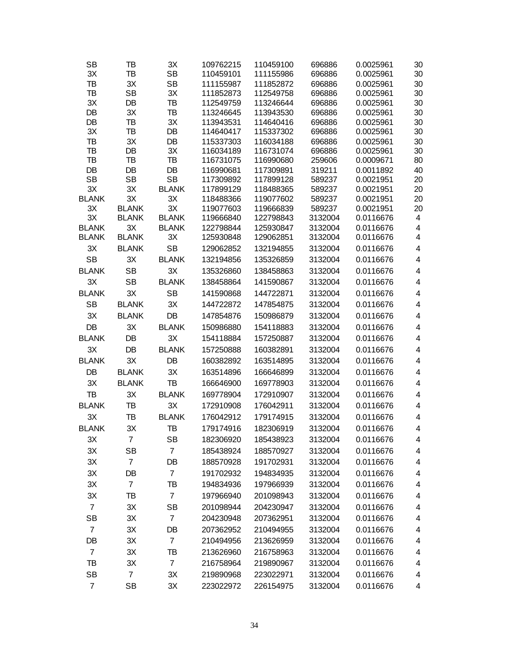| <b>SB</b>                    | TB                 | 3X                 | 109762215              | 110459100              | 696886             | 0.0025961              | 30       |
|------------------------------|--------------------|--------------------|------------------------|------------------------|--------------------|------------------------|----------|
| 3X                           | TB                 | SB                 | 110459101              | 111155986              | 696886             | 0.0025961              | 30       |
| TB                           | 3X                 | <b>SB</b>          | 111155987              | 111852872              | 696886             | 0.0025961              | 30       |
| TB                           | <b>SB</b>          | 3X                 | 111852873              | 112549758              | 696886             | 0.0025961              | 30       |
| 3X                           | DB                 | ТB                 | 112549759              | 113246644              | 696886             | 0.0025961              | 30       |
| DB<br>DB                     | 3X<br>TB           | ТB<br>3X           | 113246645<br>113943531 | 113943530<br>114640416 | 696886<br>696886   | 0.0025961<br>0.0025961 | 30<br>30 |
| 3X                           | TB                 | DB                 | 114640417              | 115337302              | 696886             | 0.0025961              | 30       |
| TB                           | 3X                 | DB                 | 115337303              | 116034188              | 696886             | 0.0025961              | 30       |
| TB                           | DB                 | 3X                 | 116034189              | 116731074              | 696886             | 0.0025961              | 30       |
| TB                           | TB                 | ТB                 | 116731075              | 116990680              | 259606             | 0.0009671              | 80       |
| DB                           | DB                 | DB                 | 116990681              | 117309891              | 319211             | 0.0011892              | 40       |
| <b>SB</b>                    | <b>SB</b>          | <b>SB</b>          | 117309892              | 117899128              | 589237             | 0.0021951              | 20       |
| 3X                           | 3X                 | <b>BLANK</b>       | 117899129              | 118488365              | 589237             | 0.0021951              | 20       |
| <b>BLANK</b>                 | 3X                 | 3X                 | 118488366              | 119077602              | 589237             | 0.0021951              | 20       |
| 3X                           | <b>BLANK</b>       | 3X                 | 119077603              | 119666839              | 589237             | 0.0021951              | 20       |
| 3X                           | <b>BLANK</b>       | <b>BLANK</b>       | 119666840              | 122798843              | 3132004            | 0.0116676              | 4        |
| <b>BLANK</b><br><b>BLANK</b> | 3X<br><b>BLANK</b> | <b>BLANK</b><br>3X | 122798844<br>125930848 | 125930847<br>129062851 | 3132004<br>3132004 | 0.0116676<br>0.0116676 | 4<br>4   |
|                              |                    | <b>SB</b>          |                        |                        |                    |                        | 4        |
| 3X                           | <b>BLANK</b>       |                    | 129062852              | 132194855              | 3132004            | 0.0116676              |          |
| <b>SB</b>                    | 3X                 | <b>BLANK</b>       | 132194856              | 135326859              | 3132004            | 0.0116676              | 4        |
| <b>BLANK</b>                 | <b>SB</b>          | 3X                 | 135326860              | 138458863              | 3132004            | 0.0116676              | 4        |
| 3X                           | <b>SB</b>          | <b>BLANK</b>       | 138458864              | 141590867              | 3132004            | 0.0116676              | 4        |
| <b>BLANK</b>                 | 3X                 | <b>SB</b>          | 141590868              | 144722871              | 3132004            | 0.0116676              | 4        |
| <b>SB</b>                    | <b>BLANK</b>       | 3X                 | 144722872              | 147854875              | 3132004            | 0.0116676              | 4        |
| 3X                           | <b>BLANK</b>       | DB                 | 147854876              | 150986879              | 3132004            | 0.0116676              | 4        |
| DB                           | 3X                 | <b>BLANK</b>       | 150986880              | 154118883              | 3132004            | 0.0116676              | 4        |
| <b>BLANK</b>                 | DB                 | 3X                 | 154118884              | 157250887              | 3132004            | 0.0116676              | 4        |
| 3X                           | DB                 | <b>BLANK</b>       | 157250888              | 160382891              | 3132004            | 0.0116676              | 4        |
| <b>BLANK</b>                 | 3X                 | DB                 | 160382892              | 163514895              | 3132004            | 0.0116676              | 4        |
| DB                           | <b>BLANK</b>       | 3X                 | 163514896              | 166646899              | 3132004            | 0.0116676              | 4        |
| 3X                           | <b>BLANK</b>       | ТB                 | 166646900              | 169778903              | 3132004            | 0.0116676              | 4        |
| TB                           | 3X                 | <b>BLANK</b>       | 169778904              | 172910907              | 3132004            | 0.0116676              | 4        |
| <b>BLANK</b>                 | TB                 | 3X                 | 172910908              | 176042911              | 3132004            | 0.0116676              | 4        |
| 3X                           | TB                 | <b>BLANK</b>       | 176042912              | 179174915              | 3132004            | 0.0116676              | 4        |
|                              |                    | ТB                 |                        |                        | 3132004            | 0.0116676              |          |
| <b>BLANK</b>                 | 3X                 |                    | 179174916              | 182306919              |                    |                        | 4        |
| ЗX                           | 7                  | SB                 | 182306920              | 185438923              | 3132004            | 0.0116676              | 4        |
| 3X                           | <b>SB</b>          | 7                  | 185438924              | 188570927              | 3132004            | 0.0116676              | 4        |
| 3X                           | $\overline{7}$     | DB                 | 188570928              | 191702931              | 3132004            | 0.0116676              | 4        |
| 3X                           | DB                 | $\overline{7}$     | 191702932              | 194834935              | 3132004            | 0.0116676              | 4        |
| 3X                           | $\overline{7}$     | ТB                 | 194834936              | 197966939              | 3132004            | 0.0116676              | 4        |
| 3X                           | TB                 | 7                  | 197966940              | 201098943              | 3132004            | 0.0116676              | 4        |
| 7                            | 3X                 | SB                 | 201098944              | 204230947              | 3132004            | 0.0116676              | 4        |
| <b>SB</b>                    | 3X                 | 7                  | 204230948              | 207362951              | 3132004            | 0.0116676              | 4        |
| 7                            | 3X                 | DB                 | 207362952              | 210494955              | 3132004            | 0.0116676              | 4        |
| DB                           | 3X                 | 7                  | 210494956              | 213626959              | 3132004            | 0.0116676              | 4        |
| $\overline{7}$               | 3X                 | ТB                 | 213626960              | 216758963              | 3132004            | 0.0116676              | 4        |
| TB                           | 3X                 | 7                  | 216758964              | 219890967              | 3132004            | 0.0116676              | 4        |
| SB                           | $\overline{7}$     | 3X                 | 219890968              | 223022971              | 3132004            | 0.0116676              | 4        |
|                              |                    |                    |                        |                        |                    |                        |          |
| 7                            | SB                 | 3X                 | 223022972              | 226154975              | 3132004            | 0.0116676              | 4        |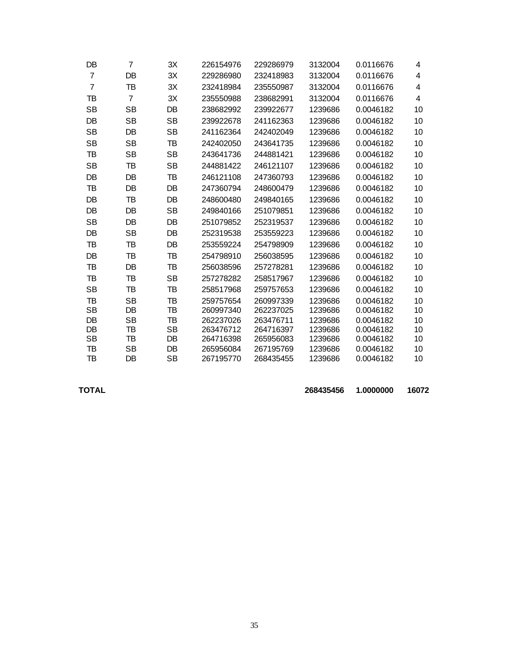| DB             | $\overline{7}$ | 3X | 226154976 | 229286979 | 3132004 | 0.0116676 | 4  |
|----------------|----------------|----|-----------|-----------|---------|-----------|----|
| $\overline{7}$ | DB             | 3X | 229286980 | 232418983 | 3132004 | 0.0116676 | 4  |
| $\overline{7}$ | ТB             | 3X | 232418984 | 235550987 | 3132004 | 0.0116676 | 4  |
| TB             | $\overline{7}$ | 3X | 235550988 | 238682991 | 3132004 | 0.0116676 | 4  |
| SB             | <b>SB</b>      | DB | 238682992 | 239922677 | 1239686 | 0.0046182 | 10 |
| DB             | SВ             | SВ | 239922678 | 241162363 | 1239686 | 0.0046182 | 10 |
| SB             | DB             | SB | 241162364 | 242402049 | 1239686 | 0.0046182 | 10 |
| SB             | SB             | TB | 242402050 | 243641735 | 1239686 | 0.0046182 | 10 |
| TB             | SB             | SB | 243641736 | 244881421 | 1239686 | 0.0046182 | 10 |
| SB             | TB             | SB | 244881422 | 246121107 | 1239686 | 0.0046182 | 10 |
| DB             | DB             | TB | 246121108 | 247360793 | 1239686 | 0.0046182 | 10 |
| TB             | DB             | DB | 247360794 | 248600479 | 1239686 | 0.0046182 | 10 |
| DB             | TB             | DB | 248600480 | 249840165 | 1239686 | 0.0046182 | 10 |
| DB             | DB             | SB | 249840166 | 251079851 | 1239686 | 0.0046182 | 10 |
| <b>SB</b>      | DB             | DB | 251079852 | 252319537 | 1239686 | 0.0046182 | 10 |
| DB             | SB             | DB | 252319538 | 253559223 | 1239686 | 0.0046182 | 10 |
| TB             | TB             | DB | 253559224 | 254798909 | 1239686 | 0.0046182 | 10 |
| DB             | TB             | TB | 254798910 | 256038595 | 1239686 | 0.0046182 | 10 |
| TB             | DB             | TB | 256038596 | 257278281 | 1239686 | 0.0046182 | 10 |
| TB             | TB             | SB | 257278282 | 258517967 | 1239686 | 0.0046182 | 10 |
| SB             | ТB             | TB | 258517968 | 259757653 | 1239686 | 0.0046182 | 10 |
| TB             | SB             | TB | 259757654 | 260997339 | 1239686 | 0.0046182 | 10 |
| SB             | DB             | TB | 260997340 | 262237025 | 1239686 | 0.0046182 | 10 |
| DB             | SB             | TB | 262237026 | 263476711 | 1239686 | 0.0046182 | 10 |
| DB             | ТB             | SB | 263476712 | 264716397 | 1239686 | 0.0046182 | 10 |
| <b>SB</b>      | ТB             | DB | 264716398 | 265956083 | 1239686 | 0.0046182 | 10 |
| TB             | SB             | DB | 265956084 | 267195769 | 1239686 | 0.0046182 | 10 |
| TB             | DB             | SB | 267195770 | 268435455 | 1239686 | 0.0046182 | 10 |

**TOTAL 268435456 1.0000000 16072**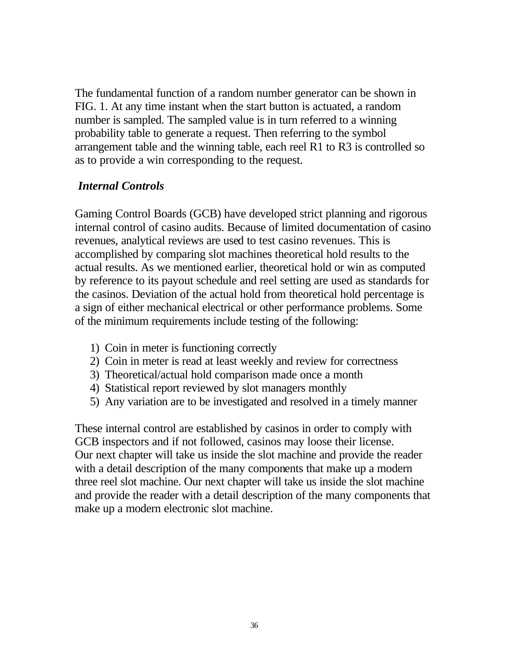The fundamental function of a random number generator can be shown in FIG. 1. At any time instant when the start button is actuated, a random number is sampled. The sampled value is in turn referred to a winning probability table to generate a request. Then referring to the symbol arrangement table and the winning table, each reel R1 to R3 is controlled so as to provide a win corresponding to the request.

## *Internal Controls*

Gaming Control Boards (GCB) have developed strict planning and rigorous internal control of casino audits. Because of limited documentation of casino revenues, analytical reviews are used to test casino revenues. This is accomplished by comparing slot machines theoretical hold results to the actual results. As we mentioned earlier, theoretical hold or win as computed by reference to its payout schedule and reel setting are used as standards for the casinos. Deviation of the actual hold from theoretical hold percentage is a sign of either mechanical electrical or other performance problems. Some of the minimum requirements include testing of the following:

- 1) Coin in meter is functioning correctly
- 2) Coin in meter is read at least weekly and review for correctness
- 3) Theoretical/actual hold comparison made once a month
- 4) Statistical report reviewed by slot managers monthly
- 5) Any variation are to be investigated and resolved in a timely manner

These internal control are established by casinos in order to comply with GCB inspectors and if not followed, casinos may loose their license. Our next chapter will take us inside the slot machine and provide the reader with a detail description of the many components that make up a modern three reel slot machine. Our next chapter will take us inside the slot machine and provide the reader with a detail description of the many components that make up a modern electronic slot machine.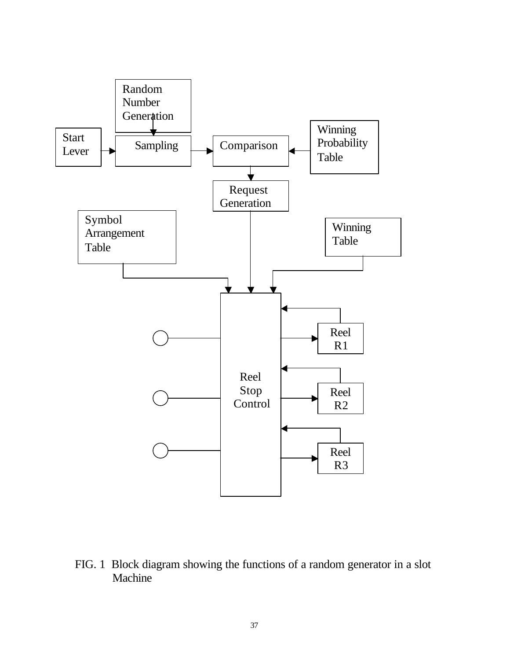

FIG. 1 Block diagram showing the functions of a random generator in a slot Machine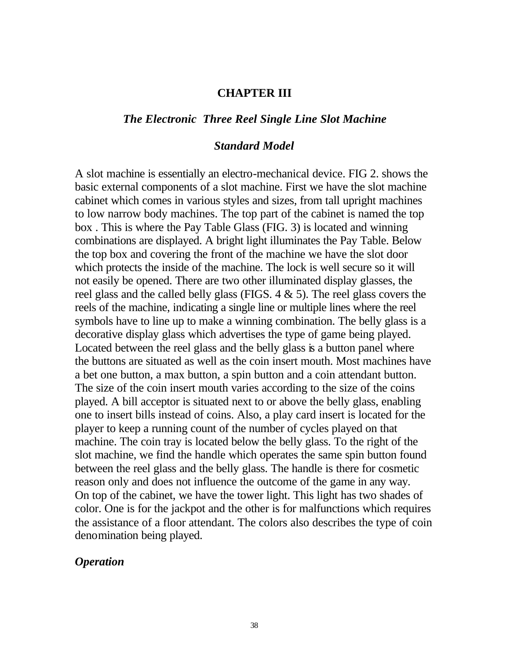#### **CHAPTER III**

#### *The Electronic Three Reel Single Line Slot Machine*

#### *Standard Model*

A slot machine is essentially an electro-mechanical device. FIG 2. shows the basic external components of a slot machine. First we have the slot machine cabinet which comes in various styles and sizes, from tall upright machines to low narrow body machines. The top part of the cabinet is named the top box . This is where the Pay Table Glass (FIG. 3) is located and winning combinations are displayed. A bright light illuminates the Pay Table. Below the top box and covering the front of the machine we have the slot door which protects the inside of the machine. The lock is well secure so it will not easily be opened. There are two other illuminated display glasses, the reel glass and the called belly glass (FIGS.  $4 \& 5$ ). The reel glass covers the reels of the machine, indicating a single line or multiple lines where the reel symbols have to line up to make a winning combination. The belly glass is a decorative display glass which advertises the type of game being played. Located between the reel glass and the belly glass is a button panel where the buttons are situated as well as the coin insert mouth. Most machines have a bet one button, a max button, a spin button and a coin attendant button. The size of the coin insert mouth varies according to the size of the coins played. A bill acceptor is situated next to or above the belly glass, enabling one to insert bills instead of coins. Also, a play card insert is located for the player to keep a running count of the number of cycles played on that machine. The coin tray is located below the belly glass. To the right of the slot machine, we find the handle which operates the same spin button found between the reel glass and the belly glass. The handle is there for cosmetic reason only and does not influence the outcome of the game in any way. On top of the cabinet, we have the tower light. This light has two shades of color. One is for the jackpot and the other is for malfunctions which requires the assistance of a floor attendant. The colors also describes the type of coin denomination being played.

#### *Operation*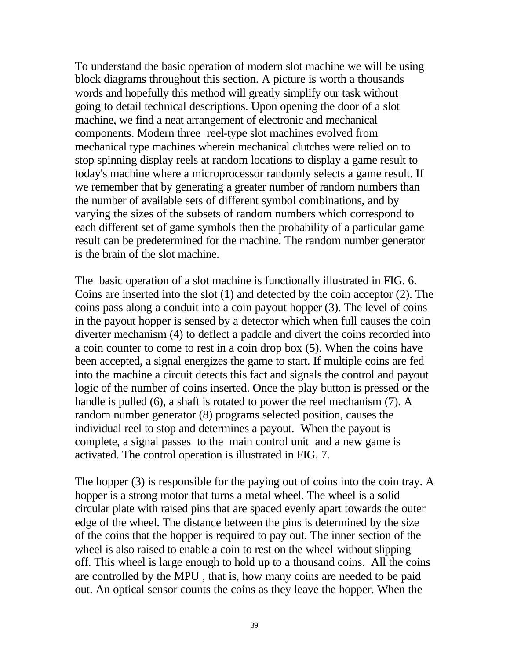To understand the basic operation of modern slot machine we will be using block diagrams throughout this section. A picture is worth a thousands words and hopefully this method will greatly simplify our task without going to detail technical descriptions. Upon opening the door of a slot machine, we find a neat arrangement of electronic and mechanical components. Modern three reel-type slot machines evolved from mechanical type machines wherein mechanical clutches were relied on to stop spinning display reels at random locations to display a game result to today's machine where a microprocessor randomly selects a game result. If we remember that by generating a greater number of random numbers than the number of available sets of different symbol combinations, and by varying the sizes of the subsets of random numbers which correspond to each different set of game symbols then the probability of a particular game result can be predetermined for the machine. The random number generator is the brain of the slot machine.

The basic operation of a slot machine is functionally illustrated in FIG. 6. Coins are inserted into the slot (1) and detected by the coin acceptor (2). The coins pass along a conduit into a coin payout hopper (3). The level of coins in the payout hopper is sensed by a detector which when full causes the coin diverter mechanism (4) to deflect a paddle and divert the coins recorded into a coin counter to come to rest in a coin drop box (5). When the coins have been accepted, a signal energizes the game to start. If multiple coins are fed into the machine a circuit detects this fact and signals the control and payout logic of the number of coins inserted. Once the play button is pressed or the handle is pulled (6), a shaft is rotated to power the reel mechanism (7). A random number generator (8) programs selected position, causes the individual reel to stop and determines a payout. When the payout is complete, a signal passes to the main control unit and a new game is activated. The control operation is illustrated in FIG. 7.

The hopper (3) is responsible for the paying out of coins into the coin tray. A hopper is a strong motor that turns a metal wheel. The wheel is a solid circular plate with raised pins that are spaced evenly apart towards the outer edge of the wheel. The distance between the pins is determined by the size of the coins that the hopper is required to pay out. The inner section of the wheel is also raised to enable a coin to rest on the wheel without slipping off. This wheel is large enough to hold up to a thousand coins. All the coins are controlled by the MPU , that is, how many coins are needed to be paid out. An optical sensor counts the coins as they leave the hopper. When the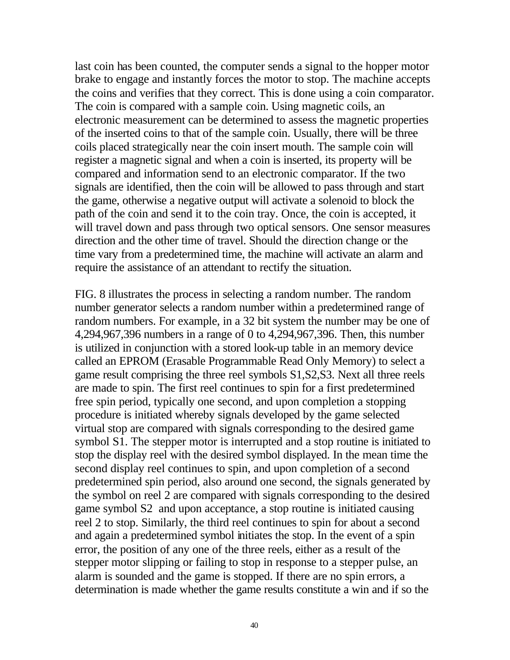last coin has been counted, the computer sends a signal to the hopper motor brake to engage and instantly forces the motor to stop. The machine accepts the coins and verifies that they correct. This is done using a coin comparator. The coin is compared with a sample coin. Using magnetic coils, an electronic measurement can be determined to assess the magnetic properties of the inserted coins to that of the sample coin. Usually, there will be three coils placed strategically near the coin insert mouth. The sample coin will register a magnetic signal and when a coin is inserted, its property will be compared and information send to an electronic comparator. If the two signals are identified, then the coin will be allowed to pass through and start the game, otherwise a negative output will activate a solenoid to block the path of the coin and send it to the coin tray. Once, the coin is accepted, it will travel down and pass through two optical sensors. One sensor measures direction and the other time of travel. Should the direction change or the time vary from a predetermined time, the machine will activate an alarm and require the assistance of an attendant to rectify the situation.

FIG. 8 illustrates the process in selecting a random number. The random number generator selects a random number within a predetermined range of random numbers. For example, in a 32 bit system the number may be one of 4,294,967,396 numbers in a range of 0 to 4,294,967,396. Then, this number is utilized in conjunction with a stored look-up table in an memory device called an EPROM (Erasable Programmable Read Only Memory) to select a game result comprising the three reel symbols S1,S2,S3. Next all three reels are made to spin. The first reel continues to spin for a first predetermined free spin period, typically one second, and upon completion a stopping procedure is initiated whereby signals developed by the game selected virtual stop are compared with signals corresponding to the desired game symbol S1. The stepper motor is interrupted and a stop routine is initiated to stop the display reel with the desired symbol displayed. In the mean time the second display reel continues to spin, and upon completion of a second predetermined spin period, also around one second, the signals generated by the symbol on reel 2 are compared with signals corresponding to the desired game symbol S2 and upon acceptance, a stop routine is initiated causing reel 2 to stop. Similarly, the third reel continues to spin for about a second and again a predetermined symbol initiates the stop. In the event of a spin error, the position of any one of the three reels, either as a result of the stepper motor slipping or failing to stop in response to a stepper pulse, an alarm is sounded and the game is stopped. If there are no spin errors, a determination is made whether the game results constitute a win and if so the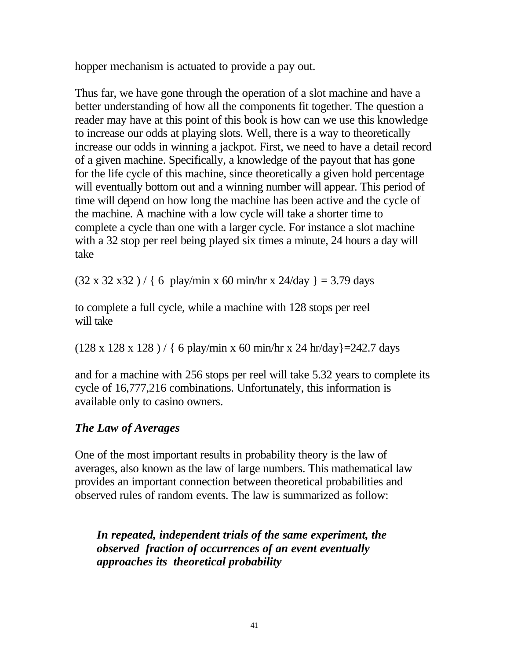hopper mechanism is actuated to provide a pay out.

Thus far, we have gone through the operation of a slot machine and have a better understanding of how all the components fit together. The question a reader may have at this point of this book is how can we use this knowledge to increase our odds at playing slots. Well, there is a way to theoretically increase our odds in winning a jackpot. First, we need to have a detail record of a given machine. Specifically, a knowledge of the payout that has gone for the life cycle of this machine, since theoretically a given hold percentage will eventually bottom out and a winning number will appear. This period of time will depend on how long the machine has been active and the cycle of the machine. A machine with a low cycle will take a shorter time to complete a cycle than one with a larger cycle. For instance a slot machine with a 32 stop per reel being played six times a minute, 24 hours a day will take

 $(32 \times 32 \times 32) / { 6}$  play/min x 60 min/hr x 24/day } = 3.79 days

to complete a full cycle, while a machine with 128 stops per reel will take

 $(128 \times 128 \times 128)$  / { 6 play/min x 60 min/hr x 24 hr/day}=242.7 days

and for a machine with 256 stops per reel will take 5.32 years to complete its cycle of 16,777,216 combinations. Unfortunately, this information is available only to casino owners.

# *The Law of Averages*

One of the most important results in probability theory is the law of averages, also known as the law of large numbers. This mathematical law provides an important connection between theoretical probabilities and observed rules of random events. The law is summarized as follow:

 *In repeated, independent trials of the same experiment, the observed fraction of occurrences of an event eventually approaches its theoretical probability*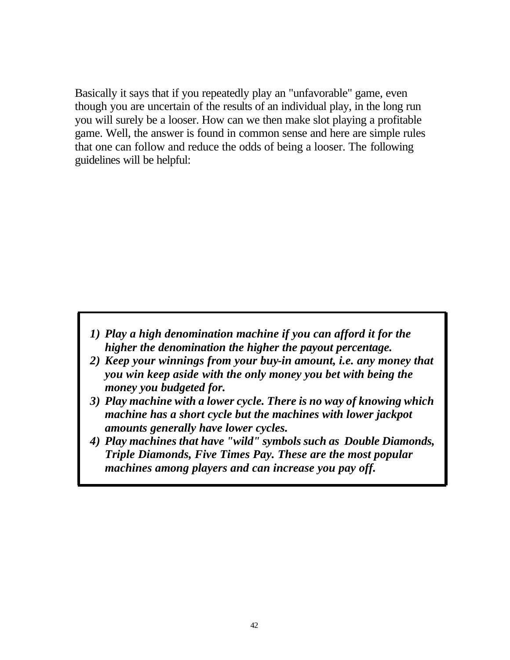Basically it says that if you repeatedly play an "unfavorable" game, even though you are uncertain of the results of an individual play, in the long run you will surely be a looser. How can we then make slot playing a profitable game. Well, the answer is found in common sense and here are simple rules that one can follow and reduce the odds of being a looser. The following guidelines will be helpful:

- *1) Play a high denomination machine if you can afford it for the higher the denomination the higher the payout percentage.*
- *2) Keep your winnings from your buy-in amount, i.e. any money that you win keep aside with the only money you bet with being the money you budgeted for.*
- *3) Play machine with a lower cycle. There is no way of knowing which machine has a short cycle but the machines with lower jackpot amounts generally have lower cycles.*
- *4) Play machines that have "wild" symbols such as Double Diamonds, Triple Diamonds, Five Times Pay. These are the most popular machines among players and can increase you pay off.*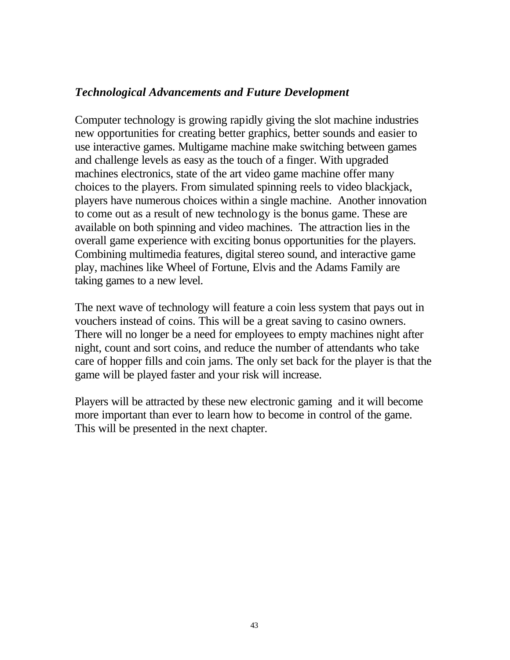## *Technological Advancements and Future Development*

Computer technology is growing rapidly giving the slot machine industries new opportunities for creating better graphics, better sounds and easier to use interactive games. Multigame machine make switching between games and challenge levels as easy as the touch of a finger. With upgraded machines electronics, state of the art video game machine offer many choices to the players. From simulated spinning reels to video blackjack, players have numerous choices within a single machine. Another innovation to come out as a result of new technology is the bonus game. These are available on both spinning and video machines. The attraction lies in the overall game experience with exciting bonus opportunities for the players. Combining multimedia features, digital stereo sound, and interactive game play, machines like Wheel of Fortune, Elvis and the Adams Family are taking games to a new level.

The next wave of technology will feature a coin less system that pays out in vouchers instead of coins. This will be a great saving to casino owners. There will no longer be a need for employees to empty machines night after night, count and sort coins, and reduce the number of attendants who take care of hopper fills and coin jams. The only set back for the player is that the game will be played faster and your risk will increase.

Players will be attracted by these new electronic gaming and it will become more important than ever to learn how to become in control of the game. This will be presented in the next chapter.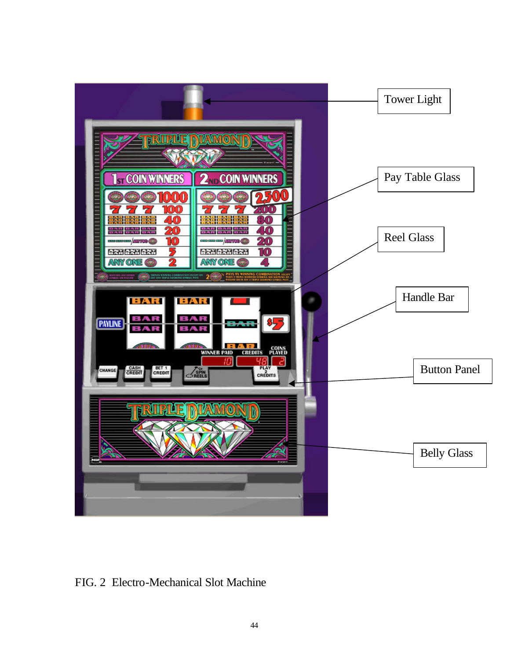

FIG. 2 Electro-Mechanical Slot Machine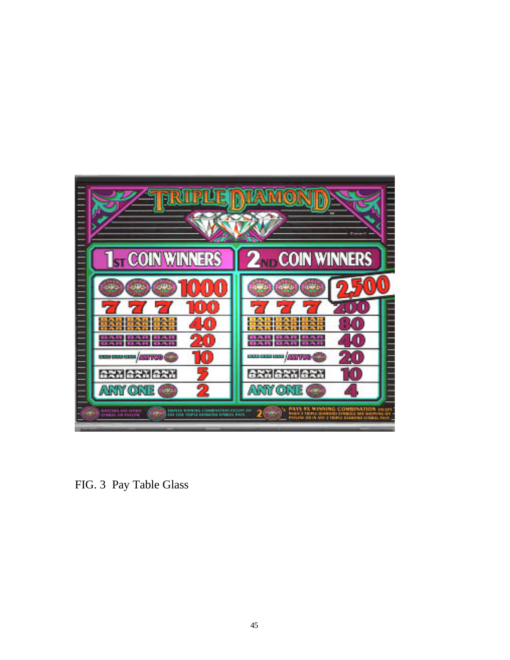

FIG. 3 Pay Table Glass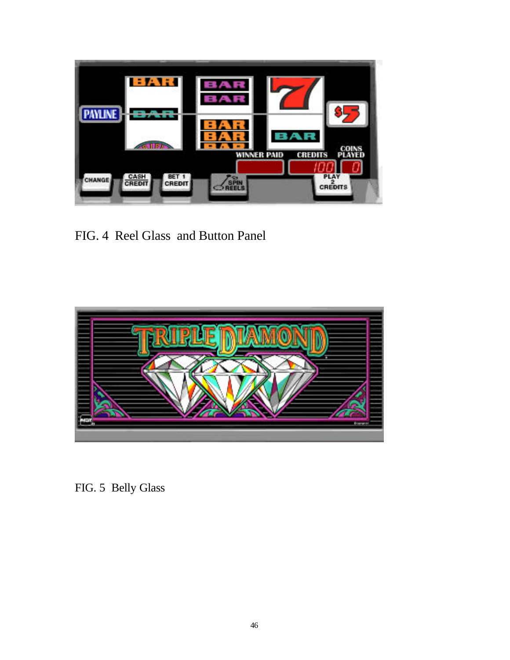

FIG. 4 Reel Glass and Button Panel



FIG. 5 Belly Glass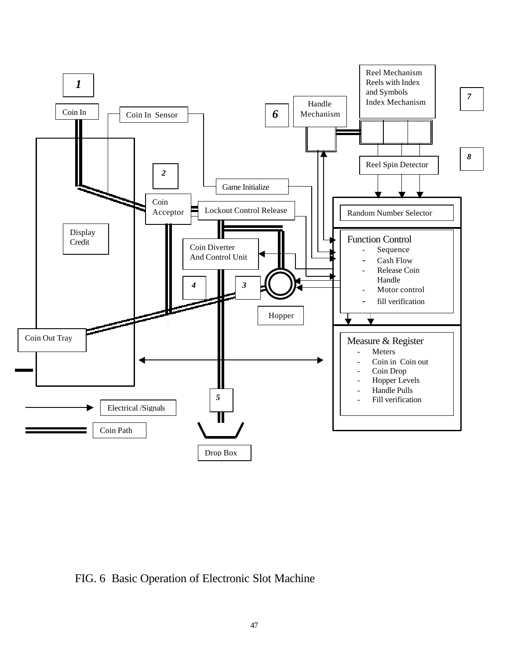

## FIG. 6 Basic Operation of Electronic Slot Machine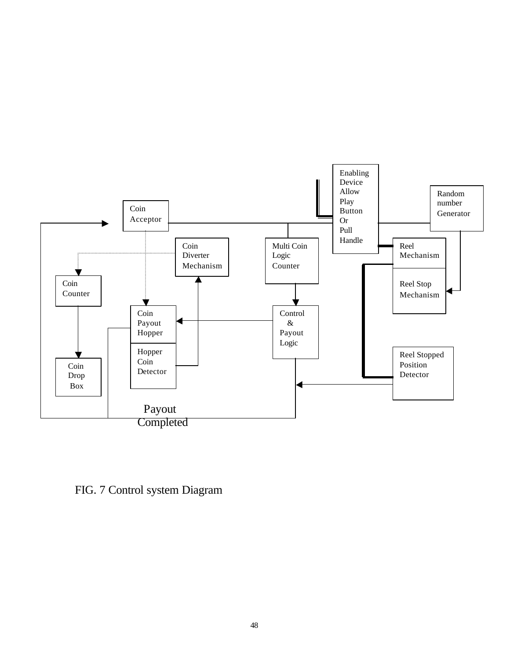

FIG. 7 Control system Diagram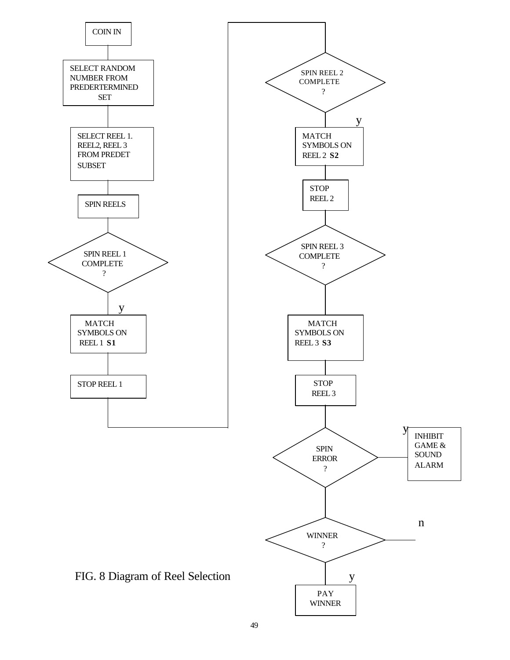

49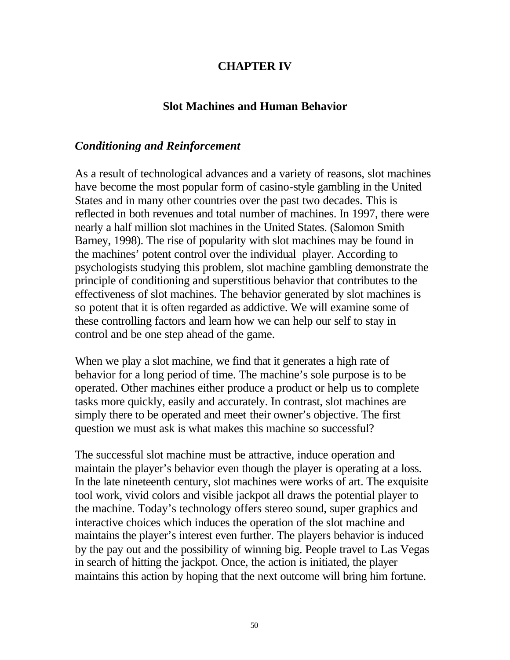## **CHAPTER IV**

## **Slot Machines and Human Behavior**

## *Conditioning and Reinforcement*

As a result of technological advances and a variety of reasons, slot machines have become the most popular form of casino-style gambling in the United States and in many other countries over the past two decades. This is reflected in both revenues and total number of machines. In 1997, there were nearly a half million slot machines in the United States. (Salomon Smith Barney, 1998). The rise of popularity with slot machines may be found in the machines' potent control over the individual player. According to psychologists studying this problem, slot machine gambling demonstrate the principle of conditioning and superstitious behavior that contributes to the effectiveness of slot machines. The behavior generated by slot machines is so potent that it is often regarded as addictive. We will examine some of these controlling factors and learn how we can help our self to stay in control and be one step ahead of the game.

When we play a slot machine, we find that it generates a high rate of behavior for a long period of time. The machine's sole purpose is to be operated. Other machines either produce a product or help us to complete tasks more quickly, easily and accurately. In contrast, slot machines are simply there to be operated and meet their owner's objective. The first question we must ask is what makes this machine so successful?

The successful slot machine must be attractive, induce operation and maintain the player's behavior even though the player is operating at a loss. In the late nineteenth century, slot machines were works of art. The exquisite tool work, vivid colors and visible jackpot all draws the potential player to the machine. Today's technology offers stereo sound, super graphics and interactive choices which induces the operation of the slot machine and maintains the player's interest even further. The players behavior is induced by the pay out and the possibility of winning big. People travel to Las Vegas in search of hitting the jackpot. Once, the action is initiated, the player maintains this action by hoping that the next outcome will bring him fortune.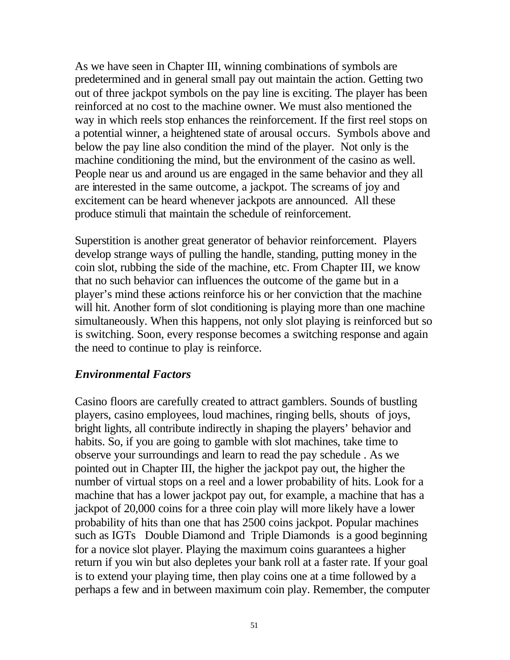As we have seen in Chapter III, winning combinations of symbols are predetermined and in general small pay out maintain the action. Getting two out of three jackpot symbols on the pay line is exciting. The player has been reinforced at no cost to the machine owner. We must also mentioned the way in which reels stop enhances the reinforcement. If the first reel stops on a potential winner, a heightened state of arousal occurs. Symbols above and below the pay line also condition the mind of the player. Not only is the machine conditioning the mind, but the environment of the casino as well. People near us and around us are engaged in the same behavior and they all are interested in the same outcome, a jackpot. The screams of joy and excitement can be heard whenever jackpots are announced. All these produce stimuli that maintain the schedule of reinforcement.

Superstition is another great generator of behavior reinforcement. Players develop strange ways of pulling the handle, standing, putting money in the coin slot, rubbing the side of the machine, etc. From Chapter III, we know that no such behavior can influences the outcome of the game but in a player's mind these actions reinforce his or her conviction that the machine will hit. Another form of slot conditioning is playing more than one machine simultaneously. When this happens, not only slot playing is reinforced but so is switching. Soon, every response becomes a switching response and again the need to continue to play is reinforce.

## *Environmental Factors*

Casino floors are carefully created to attract gamblers. Sounds of bustling players, casino employees, loud machines, ringing bells, shouts of joys, bright lights, all contribute indirectly in shaping the players' behavior and habits. So, if you are going to gamble with slot machines, take time to observe your surroundings and learn to read the pay schedule . As we pointed out in Chapter III, the higher the jackpot pay out, the higher the number of virtual stops on a reel and a lower probability of hits. Look for a machine that has a lower jackpot pay out, for example, a machine that has a jackpot of 20,000 coins for a three coin play will more likely have a lower probability of hits than one that has 2500 coins jackpot. Popular machines such as IGTs Double Diamond and Triple Diamonds is a good beginning for a novice slot player. Playing the maximum coins guarantees a higher return if you win but also depletes your bank roll at a faster rate. If your goal is to extend your playing time, then play coins one at a time followed by a perhaps a few and in between maximum coin play. Remember, the computer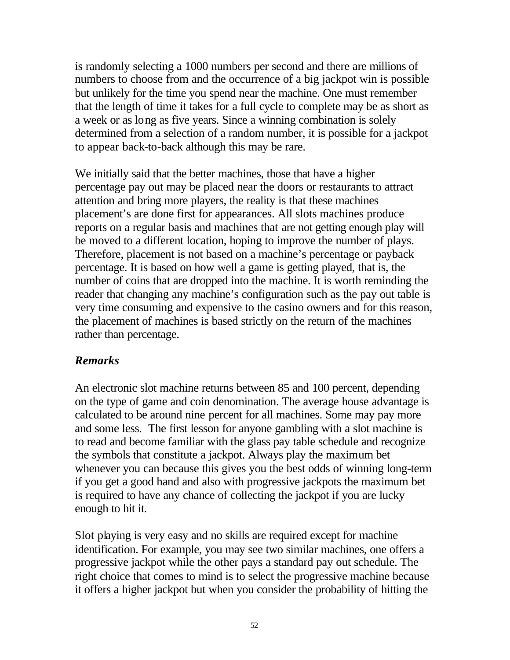is randomly selecting a 1000 numbers per second and there are millions of numbers to choose from and the occurrence of a big jackpot win is possible but unlikely for the time you spend near the machine. One must remember that the length of time it takes for a full cycle to complete may be as short as a week or as long as five years. Since a winning combination is solely determined from a selection of a random number, it is possible for a jackpot to appear back-to-back although this may be rare.

We initially said that the better machines, those that have a higher percentage pay out may be placed near the doors or restaurants to attract attention and bring more players, the reality is that these machines placement's are done first for appearances. All slots machines produce reports on a regular basis and machines that are not getting enough play will be moved to a different location, hoping to improve the number of plays. Therefore, placement is not based on a machine's percentage or payback percentage. It is based on how well a game is getting played, that is, the number of coins that are dropped into the machine. It is worth reminding the reader that changing any machine's configuration such as the pay out table is very time consuming and expensive to the casino owners and for this reason, the placement of machines is based strictly on the return of the machines rather than percentage.

# *Remarks*

An electronic slot machine returns between 85 and 100 percent, depending on the type of game and coin denomination. The average house advantage is calculated to be around nine percent for all machines. Some may pay more and some less. The first lesson for anyone gambling with a slot machine is to read and become familiar with the glass pay table schedule and recognize the symbols that constitute a jackpot. Always play the maximum bet whenever you can because this gives you the best odds of winning long-term if you get a good hand and also with progressive jackpots the maximum bet is required to have any chance of collecting the jackpot if you are lucky enough to hit it.

Slot playing is very easy and no skills are required except for machine identification. For example, you may see two similar machines, one offers a progressive jackpot while the other pays a standard pay out schedule. The right choice that comes to mind is to select the progressive machine because it offers a higher jackpot but when you consider the probability of hitting the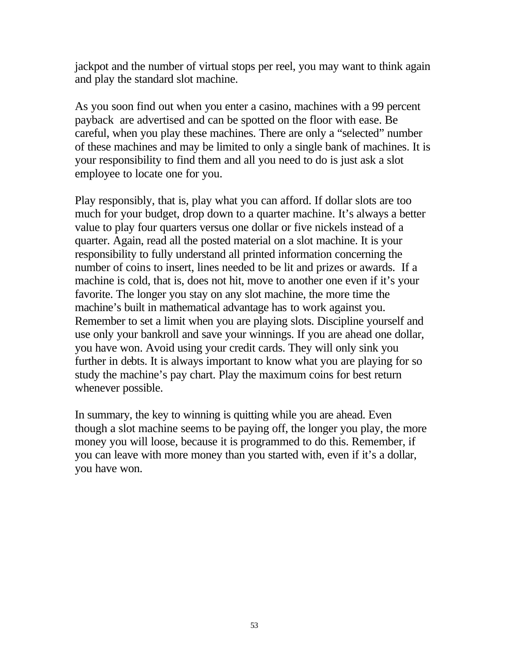jackpot and the number of virtual stops per reel, you may want to think again and play the standard slot machine.

As you soon find out when you enter a casino, machines with a 99 percent payback are advertised and can be spotted on the floor with ease. Be careful, when you play these machines. There are only a "selected" number of these machines and may be limited to only a single bank of machines. It is your responsibility to find them and all you need to do is just ask a slot employee to locate one for you.

Play responsibly, that is, play what you can afford. If dollar slots are too much for your budget, drop down to a quarter machine. It's always a better value to play four quarters versus one dollar or five nickels instead of a quarter. Again, read all the posted material on a slot machine. It is your responsibility to fully understand all printed information concerning the number of coins to insert, lines needed to be lit and prizes or awards. If a machine is cold, that is, does not hit, move to another one even if it's your favorite. The longer you stay on any slot machine, the more time the machine's built in mathematical advantage has to work against you. Remember to set a limit when you are playing slots. Discipline yourself and use only your bankroll and save your winnings. If you are ahead one dollar, you have won. Avoid using your credit cards. They will only sink you further in debts. It is always important to know what you are playing for so study the machine's pay chart. Play the maximum coins for best return whenever possible.

In summary, the key to winning is quitting while you are ahead. Even though a slot machine seems to be paying off, the longer you play, the more money you will loose, because it is programmed to do this. Remember, if you can leave with more money than you started with, even if it's a dollar, you have won.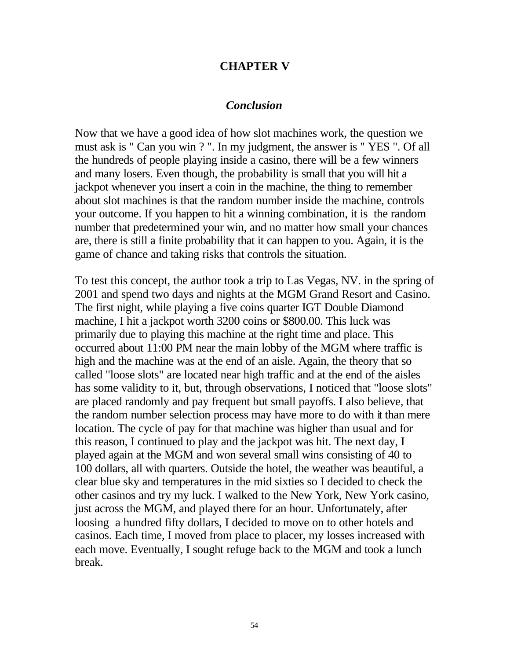## **CHAPTER V**

#### *Conclusion*

Now that we have a good idea of how slot machines work, the question we must ask is " Can you win ? ". In my judgment, the answer is " YES ". Of all the hundreds of people playing inside a casino, there will be a few winners and many losers. Even though, the probability is small that you will hit a jackpot whenever you insert a coin in the machine, the thing to remember about slot machines is that the random number inside the machine, controls your outcome. If you happen to hit a winning combination, it is the random number that predetermined your win, and no matter how small your chances are, there is still a finite probability that it can happen to you. Again, it is the game of chance and taking risks that controls the situation.

To test this concept, the author took a trip to Las Vegas, NV. in the spring of 2001 and spend two days and nights at the MGM Grand Resort and Casino. The first night, while playing a five coins quarter IGT Double Diamond machine, I hit a jackpot worth 3200 coins or \$800.00. This luck was primarily due to playing this machine at the right time and place. This occurred about 11:00 PM near the main lobby of the MGM where traffic is high and the machine was at the end of an aisle. Again, the theory that so called "loose slots" are located near high traffic and at the end of the aisles has some validity to it, but, through observations, I noticed that "loose slots" are placed randomly and pay frequent but small payoffs. I also believe, that the random number selection process may have more to do with it than mere location. The cycle of pay for that machine was higher than usual and for this reason, I continued to play and the jackpot was hit. The next day, I played again at the MGM and won several small wins consisting of 40 to 100 dollars, all with quarters. Outside the hotel, the weather was beautiful, a clear blue sky and temperatures in the mid sixties so I decided to check the other casinos and try my luck. I walked to the New York, New York casino, just across the MGM, and played there for an hour. Unfortunately, after loosing a hundred fifty dollars, I decided to move on to other hotels and casinos. Each time, I moved from place to placer, my losses increased with each move. Eventually, I sought refuge back to the MGM and took a lunch break.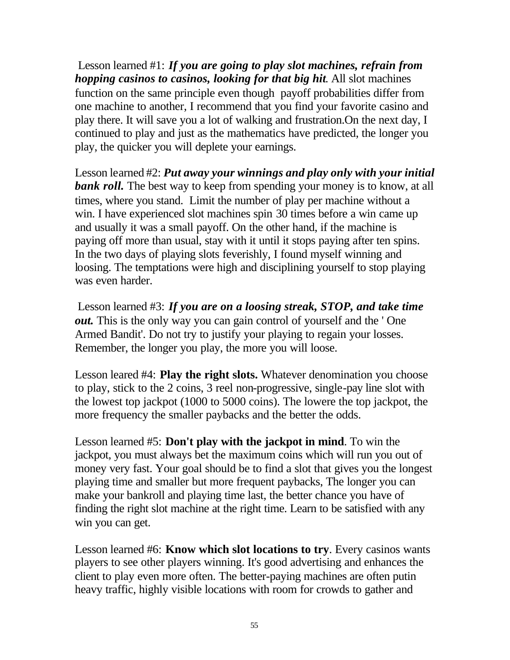Lesson learned #1: *If you are going to play slot machines, refrain from hopping casinos to casinos, looking for that big hit*. All slot machines function on the same principle even though payoff probabilities differ from one machine to another, I recommend that you find your favorite casino and play there. It will save you a lot of walking and frustration.On the next day, I continued to play and just as the mathematics have predicted, the longer you play, the quicker you will deplete your earnings.

Lesson learned #2: *Put away your winnings and play only with your initial*  **bank roll.** The best way to keep from spending your money is to know, at all times, where you stand. Limit the number of play per machine without a win. I have experienced slot machines spin 30 times before a win came up and usually it was a small payoff. On the other hand, if the machine is paying off more than usual, stay with it until it stops paying after ten spins. In the two days of playing slots feverishly, I found myself winning and loosing. The temptations were high and disciplining yourself to stop playing was even harder.

 Lesson learned #3: *If you are on a loosing streak, STOP, and take time out.* This is the only way you can gain control of yourself and the ' One Armed Bandit'. Do not try to justify your playing to regain your losses. Remember, the longer you play, the more you will loose.

Lesson leared #4: **Play the right slots.** Whatever denomination you choose to play, stick to the 2 coins, 3 reel non-progressive, single-pay line slot with the lowest top jackpot (1000 to 5000 coins). The lowere the top jackpot, the more frequency the smaller paybacks and the better the odds.

Lesson learned #5: **Don't play with the jackpot in mind**. To win the jackpot, you must always bet the maximum coins which will run you out of money very fast. Your goal should be to find a slot that gives you the longest playing time and smaller but more frequent paybacks, The longer you can make your bankroll and playing time last, the better chance you have of finding the right slot machine at the right time. Learn to be satisfied with any win you can get.

Lesson learned #6: **Know which slot locations to try**. Every casinos wants players to see other players winning. It's good advertising and enhances the client to play even more often. The better-paying machines are often putin heavy traffic, highly visible locations with room for crowds to gather and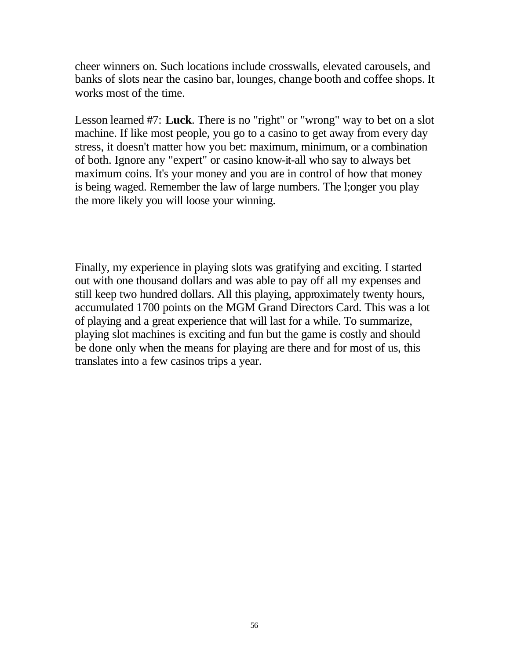cheer winners on. Such locations include crosswalls, elevated carousels, and banks of slots near the casino bar, lounges, change booth and coffee shops. It works most of the time.

Lesson learned #7: **Luck**. There is no "right" or "wrong" way to bet on a slot machine. If like most people, you go to a casino to get away from every day stress, it doesn't matter how you bet: maximum, minimum, or a combination of both. Ignore any "expert" or casino know-it-all who say to always bet maximum coins. It's your money and you are in control of how that money is being waged. Remember the law of large numbers. The l;onger you play the more likely you will loose your winning.

Finally, my experience in playing slots was gratifying and exciting. I started out with one thousand dollars and was able to pay off all my expenses and still keep two hundred dollars. All this playing, approximately twenty hours, accumulated 1700 points on the MGM Grand Directors Card. This was a lot of playing and a great experience that will last for a while. To summarize, playing slot machines is exciting and fun but the game is costly and should be done only when the means for playing are there and for most of us, this translates into a few casinos trips a year.